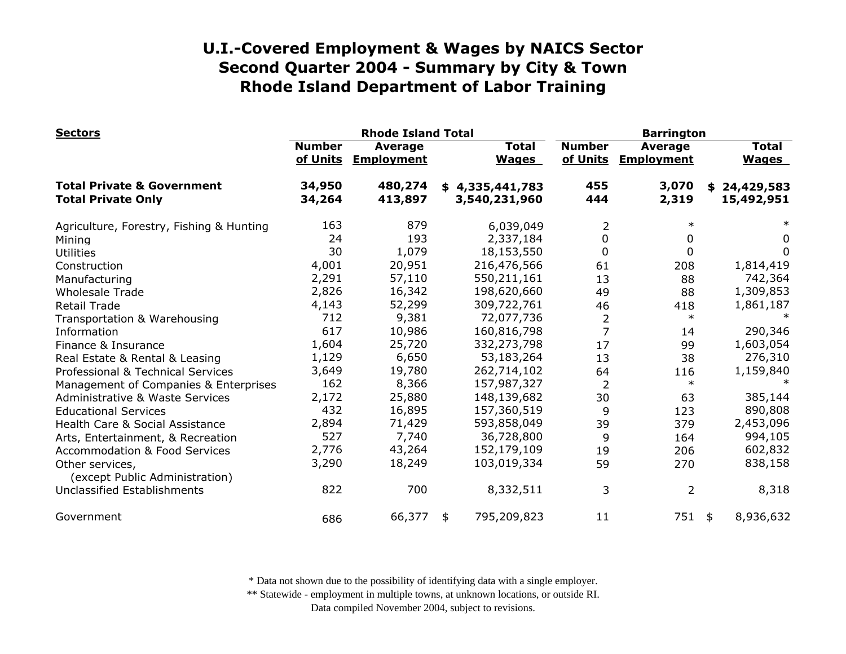| <b>Sectors</b>                                                     | <b>Rhode Island Total</b> |                              |                                  |                              | <b>Barrington</b>         |                                     |    |                              |
|--------------------------------------------------------------------|---------------------------|------------------------------|----------------------------------|------------------------------|---------------------------|-------------------------------------|----|------------------------------|
|                                                                    | <b>Number</b><br>of Units | Average<br><b>Employment</b> |                                  | <b>Total</b><br><b>Wages</b> | <b>Number</b><br>of Units | <b>Average</b><br><b>Employment</b> |    | <b>Total</b><br><b>Wages</b> |
| <b>Total Private &amp; Government</b><br><b>Total Private Only</b> | 34,950<br>34,264          | 480,274<br>413,897           | \$4,335,441,783<br>3,540,231,960 |                              | 455<br>444                | 3,070<br>2,319                      | \$ | 24,429,583<br>15,492,951     |
| Agriculture, Forestry, Fishing & Hunting                           | 163                       | 879                          |                                  | 6,039,049                    | 2                         | $\ast$                              |    |                              |
| Mining                                                             | 24                        | 193                          |                                  | 2,337,184                    | $\Omega$                  | 0                                   |    | 0                            |
| <b>Utilities</b>                                                   | 30                        | 1,079                        |                                  | 18,153,550                   | 0                         | 0                                   |    | 0                            |
| Construction                                                       | 4,001                     | 20,951                       |                                  | 216,476,566                  | 61                        | 208                                 |    | 1,814,419                    |
| Manufacturing                                                      | 2,291                     | 57,110                       |                                  | 550,211,161                  | 13                        | 88                                  |    | 742,364                      |
| <b>Wholesale Trade</b>                                             | 2,826                     | 16,342                       |                                  | 198,620,660                  | 49                        | 88                                  |    | 1,309,853                    |
| <b>Retail Trade</b>                                                | 4,143                     | 52,299                       |                                  | 309,722,761                  | 46                        | 418                                 |    | 1,861,187                    |
| Transportation & Warehousing                                       | 712                       | 9,381                        |                                  | 72,077,736                   | 2                         | $\ast$                              |    | $\ast$                       |
| Information                                                        | 617                       | 10,986                       |                                  | 160,816,798                  |                           | 14                                  |    | 290,346                      |
| Finance & Insurance                                                | 1,604                     | 25,720                       |                                  | 332,273,798                  | 17                        | 99                                  |    | 1,603,054                    |
| Real Estate & Rental & Leasing                                     | 1,129                     | 6,650                        |                                  | 53,183,264                   | 13                        | 38                                  |    | 276,310                      |
| Professional & Technical Services                                  | 3,649                     | 19,780                       |                                  | 262,714,102                  | 64                        | 116                                 |    | 1,159,840                    |
| Management of Companies & Enterprises                              | 162                       | 8,366                        |                                  | 157,987,327                  | $\overline{2}$            | $\ast$                              |    |                              |
| <b>Administrative &amp; Waste Services</b>                         | 2,172                     | 25,880                       |                                  | 148,139,682                  | 30                        | 63                                  |    | 385,144                      |
| <b>Educational Services</b>                                        | 432                       | 16,895                       |                                  | 157,360,519                  | 9                         | 123                                 |    | 890,808                      |
| Health Care & Social Assistance                                    | 2,894                     | 71,429                       |                                  | 593,858,049                  | 39                        | 379                                 |    | 2,453,096                    |
| Arts, Entertainment, & Recreation                                  | 527                       | 7,740                        |                                  | 36,728,800                   | 9                         | 164                                 |    | 994,105                      |
| <b>Accommodation &amp; Food Services</b>                           | 2,776                     | 43,264                       |                                  | 152,179,109                  | 19                        | 206                                 |    | 602,832                      |
| Other services,<br>(except Public Administration)                  | 3,290                     | 18,249                       |                                  | 103,019,334                  | 59                        | 270                                 |    | 838,158                      |
| <b>Unclassified Establishments</b>                                 | 822                       | 700                          |                                  | 8,332,511                    | 3                         | 2                                   |    | 8,318                        |
| Government                                                         | 686                       | 66,377                       | \$                               | 795,209,823                  | 11                        | 751 \$                              |    | 8,936,632                    |

\* Data not shown due to the possibility of identifying data with a single employer.

\*\* Statewide - employment in multiple towns, at unknown locations, or outside RI.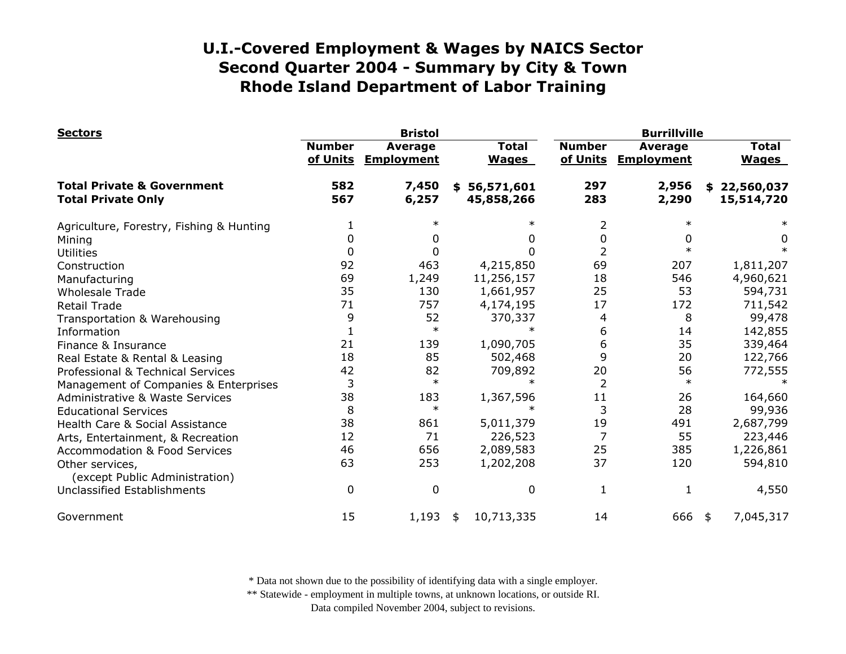| <b>Sectors</b>                                                     |                           | <b>Bristol</b>                      |                                |                           | <b>Burrillville</b>          |                                |  |  |
|--------------------------------------------------------------------|---------------------------|-------------------------------------|--------------------------------|---------------------------|------------------------------|--------------------------------|--|--|
|                                                                    | <b>Number</b><br>of Units | <b>Average</b><br><b>Employment</b> | <b>Total</b><br><b>Wages</b>   | <b>Number</b><br>of Units | Average<br><b>Employment</b> | <b>Total</b><br><b>Wages</b>   |  |  |
| <b>Total Private &amp; Government</b><br><b>Total Private Only</b> | 582<br>567                | 7,450<br>6,257                      | 56,571,601<br>\$<br>45,858,266 | 297<br>283                | 2,956<br>2,290               | 22,560,037<br>\$<br>15,514,720 |  |  |
| Agriculture, Forestry, Fishing & Hunting                           |                           |                                     | $\ast$                         |                           | $\ast$                       |                                |  |  |
| Mining                                                             | 0                         |                                     | 0                              | 0                         | 0                            | 0                              |  |  |
| <b>Utilities</b>                                                   | 0                         |                                     | 0                              |                           | $\ast$                       |                                |  |  |
| Construction                                                       | 92                        | 463                                 | 4,215,850                      | 69                        | 207                          | 1,811,207                      |  |  |
| Manufacturing                                                      | 69                        | 1,249                               | 11,256,157                     | 18                        | 546                          | 4,960,621                      |  |  |
| <b>Wholesale Trade</b>                                             | 35                        | 130                                 | 1,661,957                      | 25                        | 53                           | 594,731                        |  |  |
| <b>Retail Trade</b>                                                | 71                        | 757                                 | 4,174,195                      | 17                        | 172                          | 711,542                        |  |  |
| Transportation & Warehousing                                       | 9                         | 52                                  | 370,337                        | 4                         | 8                            | 99,478                         |  |  |
| Information                                                        |                           | $\ast$                              |                                | 6                         | 14                           | 142,855                        |  |  |
| Finance & Insurance                                                | 21                        | 139                                 | 1,090,705                      | 6                         | 35                           | 339,464                        |  |  |
| Real Estate & Rental & Leasing                                     | 18                        | 85                                  | 502,468                        | 9                         | 20                           | 122,766                        |  |  |
| Professional & Technical Services                                  | 42                        | 82                                  | 709,892                        | 20                        | 56                           | 772,555                        |  |  |
| Management of Companies & Enterprises                              | 3                         | $\ast$                              |                                | $\overline{2}$            | $\ast$                       |                                |  |  |
| <b>Administrative &amp; Waste Services</b>                         | 38                        | 183                                 | 1,367,596                      | 11                        | 26                           | 164,660                        |  |  |
| <b>Educational Services</b>                                        | 8                         | $\ast$                              |                                | 3                         | 28                           | 99,936                         |  |  |
| Health Care & Social Assistance                                    | 38                        | 861                                 | 5,011,379                      | 19                        | 491                          | 2,687,799                      |  |  |
| Arts, Entertainment, & Recreation                                  | 12                        | 71                                  | 226,523                        | 7                         | 55                           | 223,446                        |  |  |
| <b>Accommodation &amp; Food Services</b>                           | 46                        | 656                                 | 2,089,583                      | 25                        | 385                          | 1,226,861                      |  |  |
| Other services,<br>(except Public Administration)                  | 63                        | 253                                 | 1,202,208                      | 37                        | 120                          | 594,810                        |  |  |
| Unclassified Establishments                                        | $\mathbf{0}$              | $\mathbf 0$                         | $\mathbf 0$                    | 1                         | $\mathbf{1}$                 | 4,550                          |  |  |
| Government                                                         | 15                        | 1,193                               | 10,713,335<br>\$               | 14                        | 666                          | 7,045,317<br>\$                |  |  |

\* Data not shown due to the possibility of identifying data with a single employer.

\*\* Statewide - employment in multiple towns, at unknown locations, or outside RI.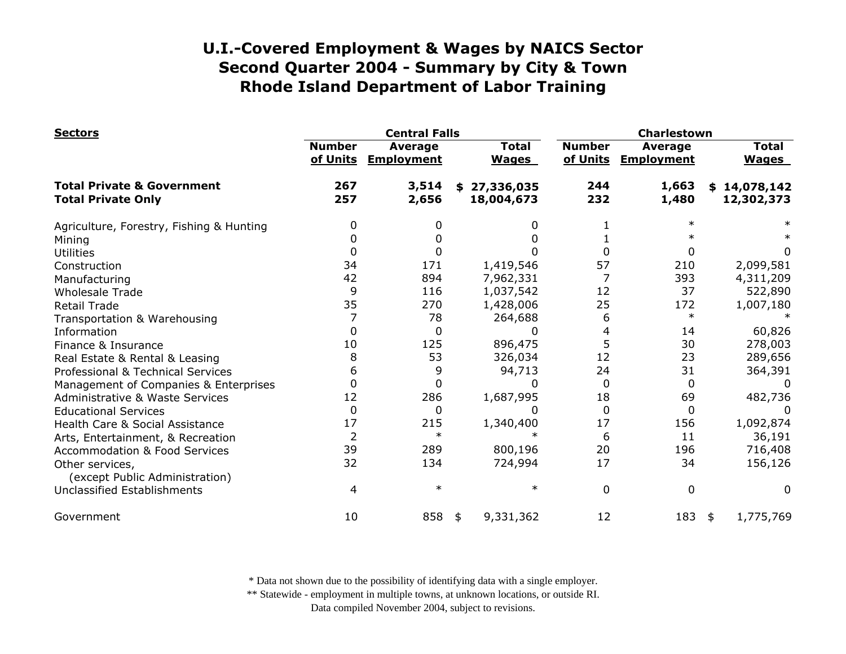| <b>Sectors</b>                                                     |                           | <b>Central Falls</b>         |                              |                           | <b>Charlestown</b>                  |                              |  |  |
|--------------------------------------------------------------------|---------------------------|------------------------------|------------------------------|---------------------------|-------------------------------------|------------------------------|--|--|
|                                                                    | <b>Number</b><br>of Units | Average<br><b>Employment</b> | <b>Total</b><br><b>Wages</b> | <b>Number</b><br>of Units | <b>Average</b><br><b>Employment</b> | <b>Total</b><br><b>Wages</b> |  |  |
| <b>Total Private &amp; Government</b><br><b>Total Private Only</b> | 267<br>257                | 3,514<br>2,656               | \$27,336,035<br>18,004,673   | 244<br>232                | 1,663<br>1,480                      | \$14,078,142<br>12,302,373   |  |  |
| Agriculture, Forestry, Fishing & Hunting                           | 0                         |                              |                              |                           | $\ast$                              |                              |  |  |
| Mining                                                             | 0                         |                              |                              |                           |                                     |                              |  |  |
| <b>Utilities</b>                                                   | 0                         |                              |                              |                           | 0                                   | 0                            |  |  |
| Construction                                                       | 34                        | 171                          | 1,419,546                    | 57                        | 210                                 | 2,099,581                    |  |  |
| Manufacturing                                                      | 42                        | 894                          | 7,962,331                    |                           | 393                                 | 4,311,209                    |  |  |
| <b>Wholesale Trade</b>                                             | 9                         | 116                          | 1,037,542                    | 12                        | 37                                  | 522,890                      |  |  |
| <b>Retail Trade</b>                                                | 35                        | 270                          | 1,428,006                    | 25                        | 172                                 | 1,007,180                    |  |  |
| Transportation & Warehousing                                       |                           | 78                           | 264,688                      | 6                         | $\ast$                              |                              |  |  |
| Information                                                        | <sup>0</sup>              | 0                            |                              | 4                         | 14                                  | 60,826                       |  |  |
| Finance & Insurance                                                | 10                        | 125                          | 896,475                      | 5                         | 30                                  | 278,003                      |  |  |
| Real Estate & Rental & Leasing                                     | 8                         | 53                           | 326,034                      | 12                        | 23                                  | 289,656                      |  |  |
| Professional & Technical Services                                  | 6                         | 9                            | 94,713                       | 24                        | 31                                  | 364,391                      |  |  |
| Management of Companies & Enterprises                              | $\Omega$                  | 0                            | ŋ                            | $\Omega$                  | 0                                   |                              |  |  |
| <b>Administrative &amp; Waste Services</b>                         | 12                        | 286                          | 1,687,995                    | 18                        | 69                                  | 482,736                      |  |  |
| <b>Educational Services</b>                                        | $\mathbf 0$               | $\Omega$                     |                              | $\Omega$                  | 0                                   |                              |  |  |
| Health Care & Social Assistance                                    | 17                        | 215                          | 1,340,400                    | 17                        | 156                                 | 1,092,874                    |  |  |
| Arts, Entertainment, & Recreation                                  | $\overline{2}$            | $\ast$                       |                              | 6                         | 11                                  | 36,191                       |  |  |
| <b>Accommodation &amp; Food Services</b>                           | 39                        | 289                          | 800,196                      | 20                        | 196                                 | 716,408                      |  |  |
| Other services,<br>(except Public Administration)                  | 32                        | 134                          | 724,994                      | 17                        | 34                                  | 156,126                      |  |  |
| Unclassified Establishments                                        | 4                         | $\ast$                       | $\ast$                       | 0                         | 0                                   | 0                            |  |  |
| Government                                                         | 10                        | 858                          | 9,331,362<br>\$              | 12                        | 183                                 | 1,775,769<br>\$              |  |  |

\* Data not shown due to the possibility of identifying data with a single employer.

\*\* Statewide - employment in multiple towns, at unknown locations, or outside RI.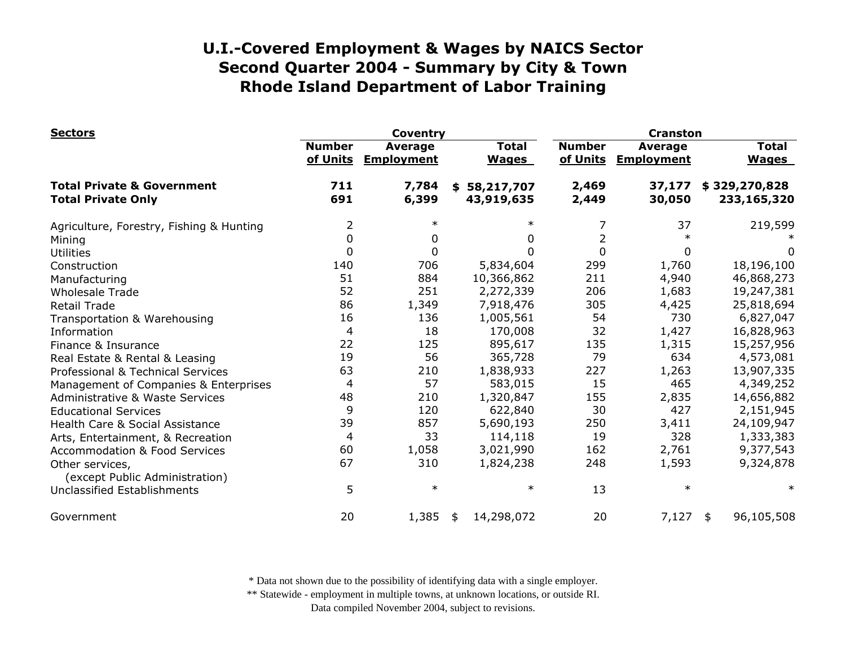| <b>Sectors</b>                                                     |                           | <b>Coventry</b>                     |                              | <b>Cranston</b>           |                                     |                              |  |
|--------------------------------------------------------------------|---------------------------|-------------------------------------|------------------------------|---------------------------|-------------------------------------|------------------------------|--|
|                                                                    | <b>Number</b><br>of Units | <b>Average</b><br><b>Employment</b> | <b>Total</b><br><b>Wages</b> | <b>Number</b><br>of Units | <b>Average</b><br><b>Employment</b> | <b>Total</b><br><b>Wages</b> |  |
| <b>Total Private &amp; Government</b><br><b>Total Private Only</b> | 711<br>691                | 7,784<br>6,399                      | \$58,217,707<br>43,919,635   | 2,469<br>2,449            | 37,177<br>30,050                    | \$329,270,828<br>233,165,320 |  |
| Agriculture, Forestry, Fishing & Hunting                           | $\overline{2}$            | $\ast$                              | $\ast$                       | 7                         | 37                                  | 219,599                      |  |
| Mining                                                             | 0                         | 0                                   | 0                            | 2                         |                                     |                              |  |
| <b>Utilities</b>                                                   | 0                         | 0                                   | 0                            | $\Omega$                  | 0                                   | 0                            |  |
| Construction                                                       | 140                       | 706                                 | 5,834,604                    | 299                       | 1,760                               | 18,196,100                   |  |
| Manufacturing                                                      | 51                        | 884                                 | 10,366,862                   | 211                       | 4,940                               | 46,868,273                   |  |
| <b>Wholesale Trade</b>                                             | 52                        | 251                                 | 2,272,339                    | 206                       | 1,683                               | 19,247,381                   |  |
| <b>Retail Trade</b>                                                | 86                        | 1,349                               | 7,918,476                    | 305                       | 4,425                               | 25,818,694                   |  |
| Transportation & Warehousing                                       | 16                        | 136                                 | 1,005,561                    | 54                        | 730                                 | 6,827,047                    |  |
| Information                                                        | 4                         | 18                                  | 170,008                      | 32                        | 1,427                               | 16,828,963                   |  |
| Finance & Insurance                                                | 22                        | 125                                 | 895,617                      | 135                       | 1,315                               | 15,257,956                   |  |
| Real Estate & Rental & Leasing                                     | 19                        | 56                                  | 365,728                      | 79                        | 634                                 | 4,573,081                    |  |
| Professional & Technical Services                                  | 63                        | 210                                 | 1,838,933                    | 227                       | 1,263                               | 13,907,335                   |  |
| Management of Companies & Enterprises                              | 4                         | 57                                  | 583,015                      | 15                        | 465                                 | 4,349,252                    |  |
| <b>Administrative &amp; Waste Services</b>                         | 48                        | 210                                 | 1,320,847                    | 155                       | 2,835                               | 14,656,882                   |  |
| <b>Educational Services</b>                                        | 9                         | 120                                 | 622,840                      | 30                        | 427                                 | 2,151,945                    |  |
| Health Care & Social Assistance                                    | 39                        | 857                                 | 5,690,193                    | 250                       | 3,411                               | 24,109,947                   |  |
| Arts, Entertainment, & Recreation                                  | 4                         | 33                                  | 114,118                      | 19                        | 328                                 | 1,333,383                    |  |
| <b>Accommodation &amp; Food Services</b>                           | 60                        | 1,058                               | 3,021,990                    | 162                       | 2,761                               | 9,377,543                    |  |
| Other services,<br>(except Public Administration)                  | 67                        | 310                                 | 1,824,238                    | 248                       | 1,593                               | 9,324,878                    |  |
| Unclassified Establishments                                        | 5                         | $\ast$                              | ∗                            | 13                        | $\ast$                              | $\ast$                       |  |
| Government                                                         | 20                        | 1,385                               | 14,298,072<br>\$             | 20                        | 7,127                               | 96,105,508<br>\$             |  |

\* Data not shown due to the possibility of identifying data with a single employer.

\*\* Statewide - employment in multiple towns, at unknown locations, or outside RI.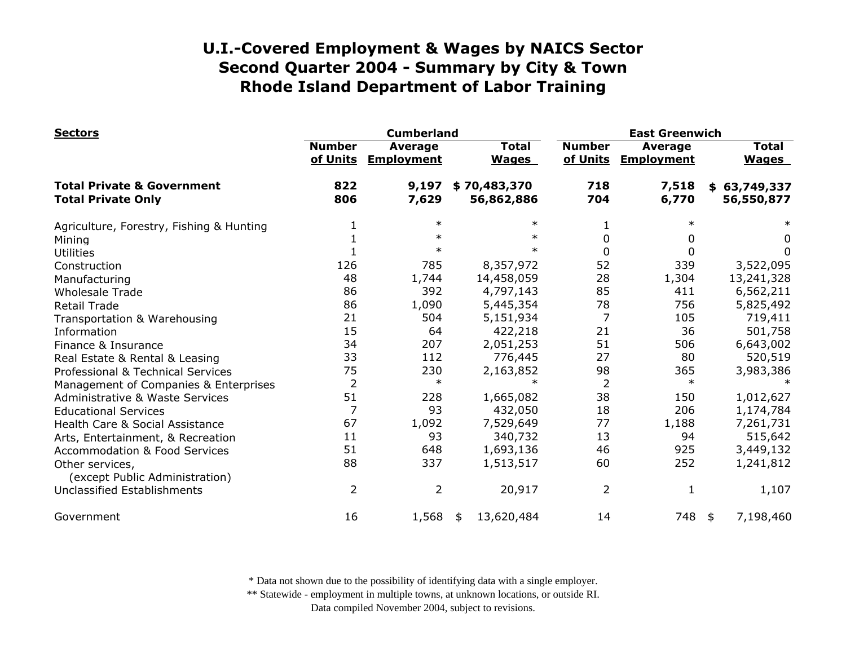| <b>Sectors</b>                                                     |                           | <b>Cumberland</b>                   |                              |                           | <b>East Greenwich</b>               |                              |  |  |
|--------------------------------------------------------------------|---------------------------|-------------------------------------|------------------------------|---------------------------|-------------------------------------|------------------------------|--|--|
|                                                                    | <b>Number</b><br>of Units | <b>Average</b><br><b>Employment</b> | <b>Total</b><br><b>Wages</b> | <b>Number</b><br>of Units | <b>Average</b><br><b>Employment</b> | <b>Total</b><br><b>Wages</b> |  |  |
| <b>Total Private &amp; Government</b><br><b>Total Private Only</b> | 822<br>806                | 9,197<br>7,629                      | \$70,483,370<br>56,862,886   | 718<br>704                | 7,518<br>6,770                      | \$63,749,337<br>56,550,877   |  |  |
| Agriculture, Forestry, Fishing & Hunting                           |                           | $\ast$                              | $\ast$                       |                           | $\ast$                              |                              |  |  |
| Mining                                                             |                           | $\ast$                              | $\ast$                       | 0                         | 0                                   | 0                            |  |  |
| <b>Utilities</b>                                                   |                           | $\ast$                              | $\ast$                       | $\Omega$                  | 0                                   | 0                            |  |  |
| Construction                                                       | 126                       | 785                                 | 8,357,972                    | 52                        | 339                                 | 3,522,095                    |  |  |
| Manufacturing                                                      | 48                        | 1,744                               | 14,458,059                   | 28                        | 1,304                               | 13,241,328                   |  |  |
| <b>Wholesale Trade</b>                                             | 86                        | 392                                 | 4,797,143                    | 85                        | 411                                 | 6,562,211                    |  |  |
| <b>Retail Trade</b>                                                | 86                        | 1,090                               | 5,445,354                    | 78                        | 756                                 | 5,825,492                    |  |  |
| Transportation & Warehousing                                       | 21                        | 504                                 | 5,151,934                    | 7                         | 105                                 | 719,411                      |  |  |
| Information                                                        | 15                        | 64                                  | 422,218                      | 21                        | 36                                  | 501,758                      |  |  |
| Finance & Insurance                                                | 34                        | 207                                 | 2,051,253                    | 51                        | 506                                 | 6,643,002                    |  |  |
| Real Estate & Rental & Leasing                                     | 33                        | 112                                 | 776,445                      | 27                        | 80                                  | 520,519                      |  |  |
| Professional & Technical Services                                  | 75                        | 230                                 | 2,163,852                    | 98                        | 365                                 | 3,983,386                    |  |  |
| Management of Companies & Enterprises                              | $\overline{2}$            | $\ast$                              | $\ast$                       | $\overline{2}$            | $\ast$                              |                              |  |  |
| <b>Administrative &amp; Waste Services</b>                         | 51                        | 228                                 | 1,665,082                    | 38                        | 150                                 | 1,012,627                    |  |  |
| <b>Educational Services</b>                                        | $\overline{7}$            | 93                                  | 432,050                      | 18                        | 206                                 | 1,174,784                    |  |  |
| Health Care & Social Assistance                                    | 67                        | 1,092                               | 7,529,649                    | 77                        | 1,188                               | 7,261,731                    |  |  |
| Arts, Entertainment, & Recreation                                  | 11                        | 93                                  | 340,732                      | 13                        | 94                                  | 515,642                      |  |  |
| <b>Accommodation &amp; Food Services</b>                           | 51                        | 648                                 | 1,693,136                    | 46                        | 925                                 | 3,449,132                    |  |  |
| Other services,<br>(except Public Administration)                  | 88                        | 337                                 | 1,513,517                    | 60                        | 252                                 | 1,241,812                    |  |  |
| Unclassified Establishments                                        | $\overline{2}$            | $\overline{2}$                      | 20,917                       | $\overline{2}$            | 1                                   | 1,107                        |  |  |
| Government                                                         | 16                        | 1,568                               | 13,620,484<br>\$             | 14                        | 748                                 | 7,198,460<br>\$              |  |  |

\* Data not shown due to the possibility of identifying data with a single employer.

\*\* Statewide - employment in multiple towns, at unknown locations, or outside RI.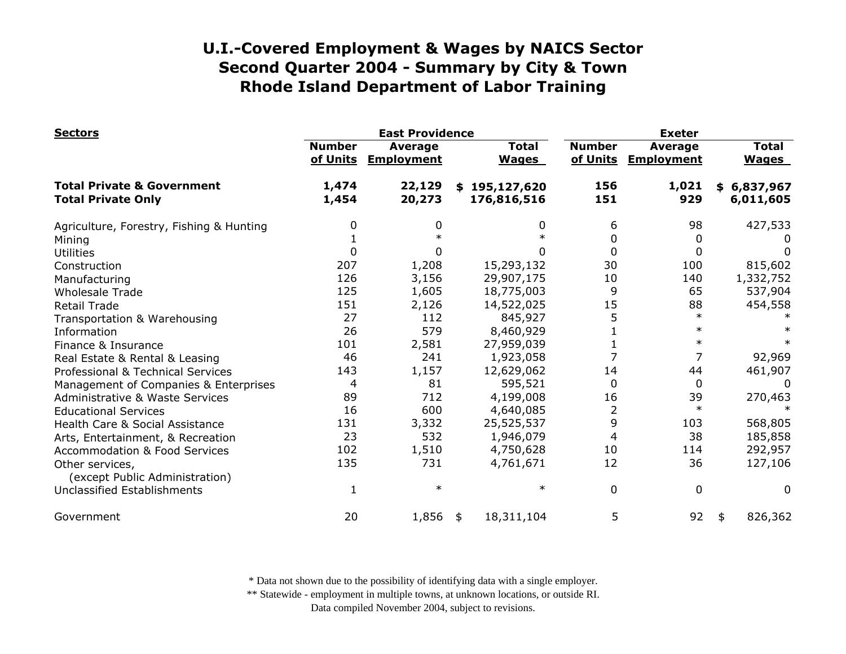| <b>Sectors</b>                                                     |                                                                  | <b>East Providence</b> |                              | <b>Exeter</b>                                  |              |                              |  |
|--------------------------------------------------------------------|------------------------------------------------------------------|------------------------|------------------------------|------------------------------------------------|--------------|------------------------------|--|
|                                                                    | <b>Number</b><br><b>Average</b><br>of Units<br><b>Employment</b> |                        | <b>Total</b><br><b>Wages</b> | <b>Number</b><br>of Units<br><b>Employment</b> |              | <b>Total</b><br><b>Wages</b> |  |
| <b>Total Private &amp; Government</b><br><b>Total Private Only</b> | 1,474<br>1,454                                                   | 22,129<br>20,273       | \$195,127,620<br>176,816,516 | 156<br>151                                     | 1,021<br>929 | \$6,837,967<br>6,011,605     |  |
| Agriculture, Forestry, Fishing & Hunting                           | 0                                                                |                        | 0                            | 6                                              | 98           | 427,533                      |  |
| Mining                                                             |                                                                  |                        |                              | 0                                              | 0            |                              |  |
| <b>Utilities</b>                                                   | $\Omega$                                                         |                        | 0                            | 0                                              | 0            | $\Omega$                     |  |
| Construction                                                       | 207                                                              | 1,208                  | 15,293,132                   | 30                                             | 100          | 815,602                      |  |
| Manufacturing                                                      | 126                                                              | 3,156                  | 29,907,175                   | 10                                             | 140          | 1,332,752                    |  |
| <b>Wholesale Trade</b>                                             | 125                                                              | 1,605                  | 18,775,003                   | 9                                              | 65           | 537,904                      |  |
| <b>Retail Trade</b>                                                | 151                                                              | 2,126                  | 14,522,025                   | 15                                             | 88           | 454,558                      |  |
| Transportation & Warehousing                                       | 27                                                               | 112                    | 845,927                      | 5                                              | $\ast$       |                              |  |
| Information                                                        | 26                                                               | 579                    | 8,460,929                    |                                                | $\ast$       |                              |  |
| Finance & Insurance                                                | 101                                                              | 2,581                  | 27,959,039                   |                                                | $\ast$       |                              |  |
| Real Estate & Rental & Leasing                                     | 46                                                               | 241                    | 1,923,058                    | 7                                              | 7            | 92,969                       |  |
| Professional & Technical Services                                  | 143                                                              | 1,157                  | 12,629,062                   | 14                                             | 44           | 461,907                      |  |
| Management of Companies & Enterprises                              | 4                                                                | 81                     | 595,521                      | 0                                              | 0            | 0                            |  |
| <b>Administrative &amp; Waste Services</b>                         | 89                                                               | 712                    | 4,199,008                    | 16                                             | 39           | 270,463                      |  |
| <b>Educational Services</b>                                        | 16                                                               | 600                    | 4,640,085                    | $\overline{2}$                                 | $\ast$       |                              |  |
| Health Care & Social Assistance                                    | 131                                                              | 3,332                  | 25,525,537                   | 9                                              | 103          | 568,805                      |  |
| Arts, Entertainment, & Recreation                                  | 23                                                               | 532                    | 1,946,079                    | 4                                              | 38           | 185,858                      |  |
| <b>Accommodation &amp; Food Services</b>                           | 102                                                              | 1,510                  | 4,750,628                    | 10                                             | 114          | 292,957                      |  |
| Other services,<br>(except Public Administration)                  | 135                                                              | 731                    | 4,761,671                    | 12                                             | 36           | 127,106                      |  |
| <b>Unclassified Establishments</b>                                 |                                                                  | $\ast$                 | $\ast$                       | 0                                              | $\Omega$     | $\Omega$                     |  |
| Government                                                         | 20                                                               | 1,856                  | 18,311,104<br>\$             | 5                                              | 92           | 826,362<br>\$                |  |

\* Data not shown due to the possibility of identifying data with a single employer.

\*\* Statewide - employment in multiple towns, at unknown locations, or outside RI.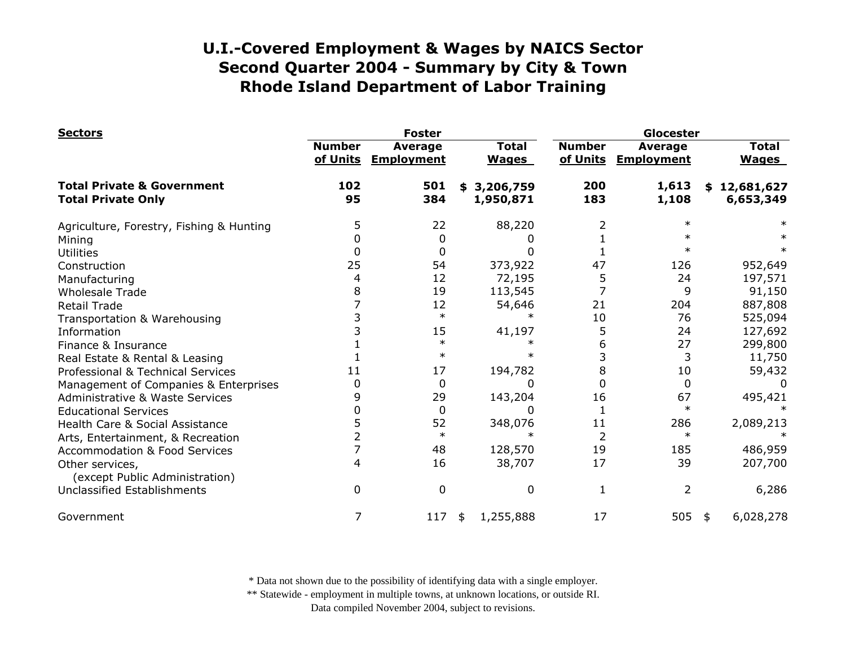| <b>Sectors</b>                                                     |                           | <b>Foster</b>                       |                              |                           | Glocester                           |                                       |  |  |
|--------------------------------------------------------------------|---------------------------|-------------------------------------|------------------------------|---------------------------|-------------------------------------|---------------------------------------|--|--|
|                                                                    | <b>Number</b><br>of Units | <b>Average</b><br><b>Employment</b> | <b>Total</b><br><b>Wages</b> | <b>Number</b><br>of Units | <b>Average</b><br><b>Employment</b> | <b>Total</b><br><b>Wages</b>          |  |  |
| <b>Total Private &amp; Government</b><br><b>Total Private Only</b> | 102<br>95                 | 501<br>384                          | 3,206,759<br>\$<br>1,950,871 | 200<br>183                | 1,613<br>1,108                      | 12,681,627<br>\$<br>6,653,349         |  |  |
| Agriculture, Forestry, Fishing & Hunting                           | 5                         | 22                                  | 88,220                       |                           | $\ast$                              |                                       |  |  |
| Mining                                                             | 0                         | $\Omega$                            | 0                            |                           |                                     |                                       |  |  |
| <b>Utilities</b>                                                   | 0                         | 0                                   | 0                            |                           | $\ast$                              |                                       |  |  |
| Construction                                                       | 25                        | 54                                  | 373,922                      | 47                        | 126                                 | 952,649                               |  |  |
| Manufacturing                                                      |                           | 12                                  | 72,195                       | 5                         | 24                                  | 197,571                               |  |  |
| <b>Wholesale Trade</b>                                             | 8                         | 19                                  | 113,545                      |                           | 9                                   | 91,150                                |  |  |
| <b>Retail Trade</b>                                                |                           | 12                                  | 54,646                       | 21                        | 204                                 | 887,808                               |  |  |
| Transportation & Warehousing                                       |                           | $\ast$                              | $\ast$                       | 10                        | 76                                  | 525,094                               |  |  |
| Information                                                        |                           | 15                                  | 41,197                       | 5                         | 24                                  | 127,692                               |  |  |
| Finance & Insurance                                                |                           | $\ast$                              |                              | 6                         | 27                                  | 299,800                               |  |  |
| Real Estate & Rental & Leasing                                     |                           | $\ast$                              |                              |                           | 3                                   | 11,750                                |  |  |
| Professional & Technical Services                                  | 11                        | 17                                  | 194,782                      | 8                         | 10                                  | 59,432                                |  |  |
| Management of Companies & Enterprises                              | 0                         | 0                                   | $\Omega$                     | O                         | 0                                   | $\Omega$                              |  |  |
| Administrative & Waste Services                                    | 9                         | 29                                  | 143,204                      | 16                        | 67                                  | 495,421                               |  |  |
| <b>Educational Services</b>                                        |                           | 0                                   | <sup>0</sup>                 |                           | $\ast$                              |                                       |  |  |
| Health Care & Social Assistance                                    |                           | 52                                  | 348,076                      | 11                        | 286                                 | 2,089,213                             |  |  |
| Arts, Entertainment, & Recreation                                  |                           | $\ast$                              | ж                            | 2                         | $\ast$                              |                                       |  |  |
| <b>Accommodation &amp; Food Services</b>                           |                           | 48                                  | 128,570                      | 19                        | 185                                 | 486,959                               |  |  |
| Other services,<br>(except Public Administration)                  | 4                         | 16                                  | 38,707                       | 17                        | 39                                  | 207,700                               |  |  |
| Unclassified Establishments                                        | 0                         | $\mathbf 0$                         | $\mathbf 0$                  | 1                         | 2                                   | 6,286                                 |  |  |
| Government                                                         | 7                         | 117                                 | 1,255,888<br>\$              | 17                        | 505                                 | 6,028,278<br>$\overline{\phantom{a}}$ |  |  |

\* Data not shown due to the possibility of identifying data with a single employer.

\*\* Statewide - employment in multiple towns, at unknown locations, or outside RI.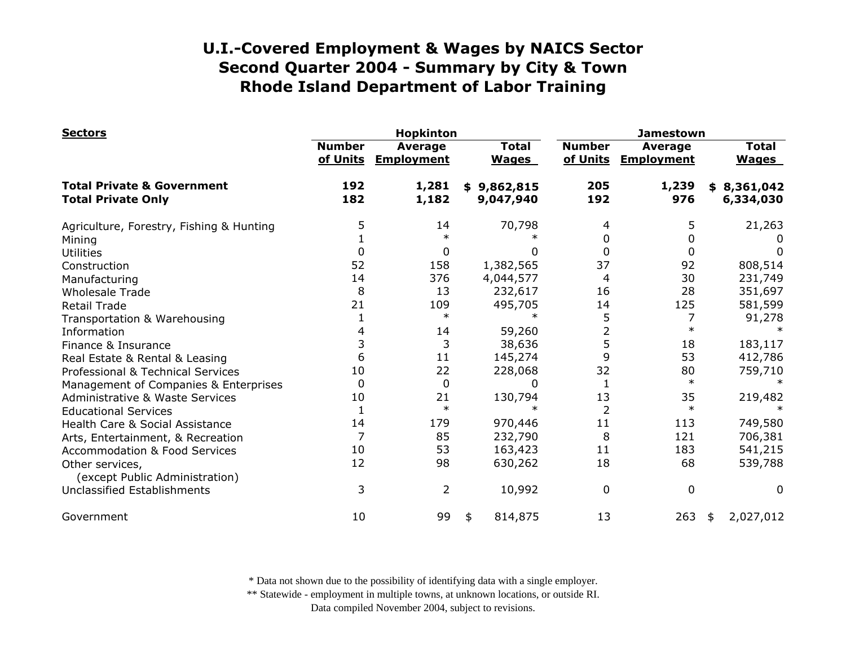| <b>Sectors</b>                                                     |               | <b>Hopkinton</b>                      |                              | <b>Jamestown</b>          |                |                                     |    |                              |
|--------------------------------------------------------------------|---------------|---------------------------------------|------------------------------|---------------------------|----------------|-------------------------------------|----|------------------------------|
|                                                                    | <b>Number</b> | <b>Average</b><br>of Units Employment | <b>Total</b><br><b>Wages</b> | <b>Number</b><br>of Units |                | <b>Average</b><br><b>Employment</b> |    | <b>Total</b><br><b>Wages</b> |
| <b>Total Private &amp; Government</b><br><b>Total Private Only</b> | 192<br>182    | 1,281<br>1,182                        | \$9,862,815<br>9,047,940     |                           | 205<br>192     | 1,239<br>976                        |    | \$8,361,042<br>6,334,030     |
| Agriculture, Forestry, Fishing & Hunting                           | 5             | 14                                    |                              | 70,798                    | 4              | 5                                   |    | 21,263                       |
| Mining                                                             |               | $\ast$                                |                              |                           | 0              | 0                                   |    |                              |
| <b>Utilities</b>                                                   | 0             | 0                                     |                              | 0                         | 0              | 0                                   |    | $\Omega$                     |
| Construction                                                       | 52            | 158                                   | 1,382,565                    |                           | 37             | 92                                  |    | 808,514                      |
| Manufacturing                                                      | 14            | 376                                   | 4,044,577                    |                           | 4              | 30                                  |    | 231,749                      |
| <b>Wholesale Trade</b>                                             | 8             | 13                                    | 232,617                      |                           | 16             | 28                                  |    | 351,697                      |
| <b>Retail Trade</b>                                                | 21            | 109                                   | 495,705                      |                           | 14             | 125                                 |    | 581,599                      |
| Transportation & Warehousing                                       |               | $\ast$                                |                              |                           | 5              |                                     |    | 91,278                       |
| Information                                                        | 4             | 14                                    |                              | 59,260                    | $\overline{2}$ | $\ast$                              |    |                              |
| Finance & Insurance                                                | 3             | 3                                     |                              | 38,636                    | 5              | 18                                  |    | 183,117                      |
| Real Estate & Rental & Leasing                                     | 6             | 11                                    | 145,274                      |                           | 9              | 53                                  |    | 412,786                      |
| Professional & Technical Services                                  | 10            | 22                                    | 228,068                      |                           | 32             | 80                                  |    | 759,710                      |
| Management of Companies & Enterprises                              | 0             | $\mathbf{0}$                          |                              | <sup>0</sup>              | 1              | $\ast$                              |    |                              |
| Administrative & Waste Services                                    | 10            | 21                                    | 130,794                      |                           | 13             | 35                                  |    | 219,482                      |
| <b>Educational Services</b>                                        |               | $\ast$                                |                              |                           | $\overline{2}$ | $\ast$                              |    |                              |
| Health Care & Social Assistance                                    | 14            | 179                                   | 970,446                      |                           | 11             | 113                                 |    | 749,580                      |
| Arts, Entertainment, & Recreation                                  | 7             | 85                                    | 232,790                      |                           | 8              | 121                                 |    | 706,381                      |
| <b>Accommodation &amp; Food Services</b>                           | 10            | 53                                    | 163,423                      |                           | 11             | 183                                 |    | 541,215                      |
| Other services,<br>(except Public Administration)                  | 12            | 98                                    | 630,262                      |                           | 18             | 68                                  |    | 539,788                      |
| <b>Unclassified Establishments</b>                                 | 3             | 2                                     |                              | 10,992                    | 0              | 0                                   |    | 0                            |
| Government                                                         | 10            | 99                                    | 814,875<br>\$                |                           | 13             | 263                                 | \$ | 2,027,012                    |

\* Data not shown due to the possibility of identifying data with a single employer.

\*\* Statewide - employment in multiple towns, at unknown locations, or outside RI.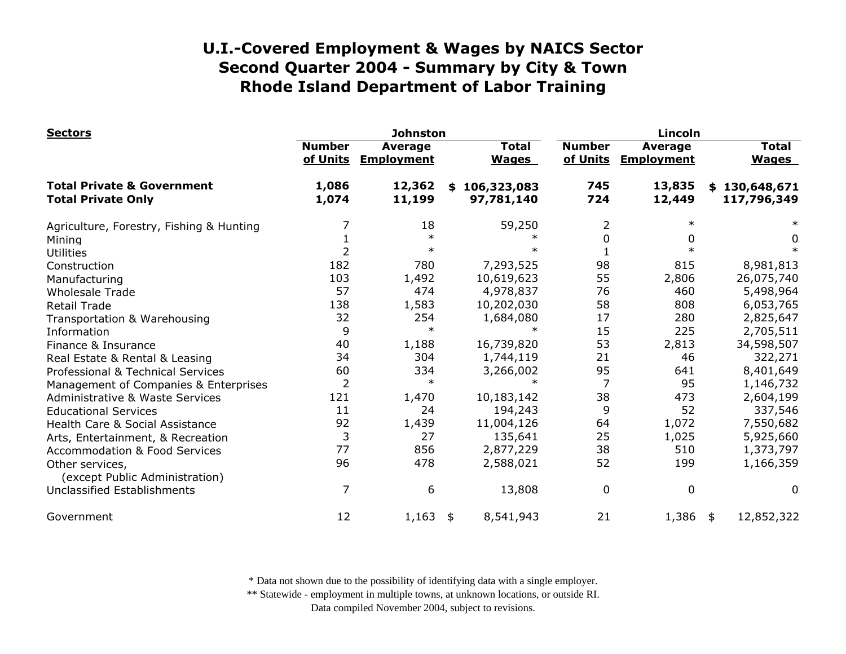| <b>Sectors</b>                                                     |                           | <b>Johnston</b>                     |                                 |                           | Lincoln                             |                              |  |  |
|--------------------------------------------------------------------|---------------------------|-------------------------------------|---------------------------------|---------------------------|-------------------------------------|------------------------------|--|--|
|                                                                    | <b>Number</b><br>of Units | <b>Average</b><br><b>Employment</b> | <b>Total</b><br><b>Wages</b>    | <b>Number</b><br>of Units | <b>Average</b><br><b>Employment</b> | <b>Total</b><br><b>Wages</b> |  |  |
| <b>Total Private &amp; Government</b><br><b>Total Private Only</b> | 1,086<br>1,074            | 12,362<br>11,199                    | 106,323,083<br>\$<br>97,781,140 | 745<br>724                | 13,835<br>12,449                    | \$130,648,671<br>117,796,349 |  |  |
| Agriculture, Forestry, Fishing & Hunting                           |                           | 18                                  | 59,250                          | 2                         |                                     |                              |  |  |
| Mining                                                             |                           | $\ast$                              |                                 | 0                         | 0                                   | 0                            |  |  |
| <b>Utilities</b>                                                   |                           | $\ast$                              |                                 |                           |                                     |                              |  |  |
| Construction                                                       | 182                       | 780                                 | 7,293,525                       | 98                        | 815                                 | 8,981,813                    |  |  |
| Manufacturing                                                      | 103                       | 1,492                               | 10,619,623                      | 55                        | 2,806                               | 26,075,740                   |  |  |
| <b>Wholesale Trade</b>                                             | 57                        | 474                                 | 4,978,837                       | 76                        | 460                                 | 5,498,964                    |  |  |
| <b>Retail Trade</b>                                                | 138                       | 1,583                               | 10,202,030                      | 58                        | 808                                 | 6,053,765                    |  |  |
| Transportation & Warehousing                                       | 32                        | 254                                 | 1,684,080                       | 17                        | 280                                 | 2,825,647                    |  |  |
| Information                                                        | 9                         | $\ast$                              |                                 | 15                        | 225                                 | 2,705,511                    |  |  |
| Finance & Insurance                                                | 40                        | 1,188                               | 16,739,820                      | 53                        | 2,813                               | 34,598,507                   |  |  |
| Real Estate & Rental & Leasing                                     | 34                        | 304                                 | 1,744,119                       | 21                        | 46                                  | 322,271                      |  |  |
| Professional & Technical Services                                  | 60                        | 334                                 | 3,266,002                       | 95                        | 641                                 | 8,401,649                    |  |  |
| Management of Companies & Enterprises                              | 2                         | $\ast$                              | $\ast$                          |                           | 95                                  | 1,146,732                    |  |  |
| Administrative & Waste Services                                    | 121                       | 1,470                               | 10,183,142                      | 38                        | 473                                 | 2,604,199                    |  |  |
| <b>Educational Services</b>                                        | 11                        | 24                                  | 194,243                         | 9                         | 52                                  | 337,546                      |  |  |
| Health Care & Social Assistance                                    | 92                        | 1,439                               | 11,004,126                      | 64                        | 1,072                               | 7,550,682                    |  |  |
| Arts, Entertainment, & Recreation                                  | 3                         | 27                                  | 135,641                         | 25                        | 1,025                               | 5,925,660                    |  |  |
| <b>Accommodation &amp; Food Services</b>                           | 77                        | 856                                 | 2,877,229                       | 38                        | 510                                 | 1,373,797                    |  |  |
| Other services,<br>(except Public Administration)                  | 96                        | 478                                 | 2,588,021                       | 52                        | 199                                 | 1,166,359                    |  |  |
| <b>Unclassified Establishments</b>                                 | 7                         | 6                                   | 13,808                          | 0                         | $\mathbf 0$                         | 0                            |  |  |
| Government                                                         | 12                        | 1,163                               | 8,541,943<br>\$                 | 21                        | 1,386                               | 12,852,322<br>\$             |  |  |

\* Data not shown due to the possibility of identifying data with a single employer.

\*\* Statewide - employment in multiple towns, at unknown locations, or outside RI.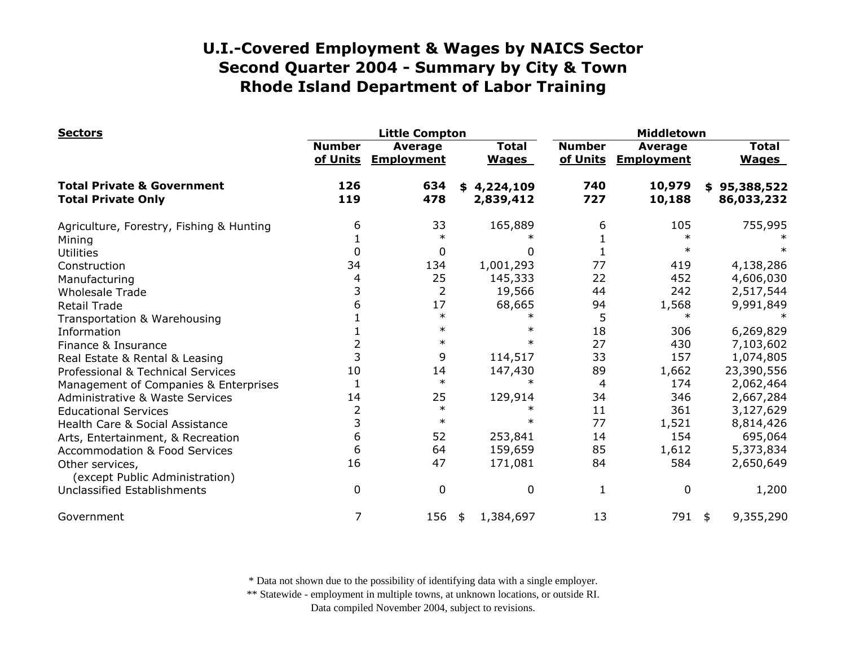| <b>Sectors</b>                                                     |                           | <b>Little Compton</b>               |                              |                           | Middletown                          |                              |  |  |
|--------------------------------------------------------------------|---------------------------|-------------------------------------|------------------------------|---------------------------|-------------------------------------|------------------------------|--|--|
|                                                                    | <b>Number</b><br>of Units | <b>Average</b><br><b>Employment</b> | <b>Total</b><br><b>Wages</b> | <b>Number</b><br>of Units | <b>Average</b><br><b>Employment</b> | <b>Total</b><br><b>Wages</b> |  |  |
| <b>Total Private &amp; Government</b><br><b>Total Private Only</b> | 126<br>119                | 634<br>478                          | 4,224,109<br>\$<br>2,839,412 | 740<br>727                | 10,979<br>10,188                    | \$95,388,522<br>86,033,232   |  |  |
| Agriculture, Forestry, Fishing & Hunting                           | 6                         | 33                                  | 165,889                      | 6                         | 105                                 | 755,995                      |  |  |
| Mining                                                             |                           |                                     |                              |                           | $\ast$                              |                              |  |  |
| <b>Utilities</b>                                                   | 0                         | 0                                   | 0                            |                           | $\ast$                              |                              |  |  |
| Construction                                                       | 34                        | 134                                 | 1,001,293                    | 77                        | 419                                 | 4,138,286                    |  |  |
| Manufacturing                                                      | 4                         | 25                                  | 145,333                      | 22                        | 452                                 | 4,606,030                    |  |  |
| <b>Wholesale Trade</b>                                             | 3                         | $\overline{2}$                      | 19,566                       | 44                        | 242                                 | 2,517,544                    |  |  |
| <b>Retail Trade</b>                                                | 6                         | 17                                  | 68,665                       | 94                        | 1,568                               | 9,991,849                    |  |  |
| Transportation & Warehousing                                       |                           | $\ast$                              |                              | 5                         | $\ast$                              |                              |  |  |
| Information                                                        |                           | $\ast$                              |                              | 18                        | 306                                 | 6,269,829                    |  |  |
| Finance & Insurance                                                |                           | $\ast$                              |                              | 27                        | 430                                 | 7,103,602                    |  |  |
| Real Estate & Rental & Leasing                                     | 3                         | 9                                   | 114,517                      | 33                        | 157                                 | 1,074,805                    |  |  |
| Professional & Technical Services                                  | 10                        | 14                                  | 147,430                      | 89                        | 1,662                               | 23,390,556                   |  |  |
| Management of Companies & Enterprises                              |                           | $\ast$                              | $\ast$                       | 4                         | 174                                 | 2,062,464                    |  |  |
| <b>Administrative &amp; Waste Services</b>                         | 14                        | 25                                  | 129,914                      | 34                        | 346                                 | 2,667,284                    |  |  |
| <b>Educational Services</b>                                        | 2                         | $\ast$                              | $\ast$                       | 11                        | 361                                 | 3,127,629                    |  |  |
| Health Care & Social Assistance                                    | 3                         | $\ast$                              | $\ast$                       | 77                        | 1,521                               | 8,814,426                    |  |  |
| Arts, Entertainment, & Recreation                                  | 6                         | 52                                  | 253,841                      | 14                        | 154                                 | 695,064                      |  |  |
| <b>Accommodation &amp; Food Services</b>                           | 6                         | 64                                  | 159,659                      | 85                        | 1,612                               | 5,373,834                    |  |  |
| Other services,<br>(except Public Administration)                  | 16                        | 47                                  | 171,081                      | 84                        | 584                                 | 2,650,649                    |  |  |
| <b>Unclassified Establishments</b>                                 | 0                         | $\mathbf 0$                         | $\mathbf 0$                  | 1                         | 0                                   | 1,200                        |  |  |
| Government                                                         | 7                         | 156                                 | 1,384,697<br>\$              | 13                        | 791 \$                              | 9,355,290                    |  |  |

\* Data not shown due to the possibility of identifying data with a single employer.

\*\* Statewide - employment in multiple towns, at unknown locations, or outside RI.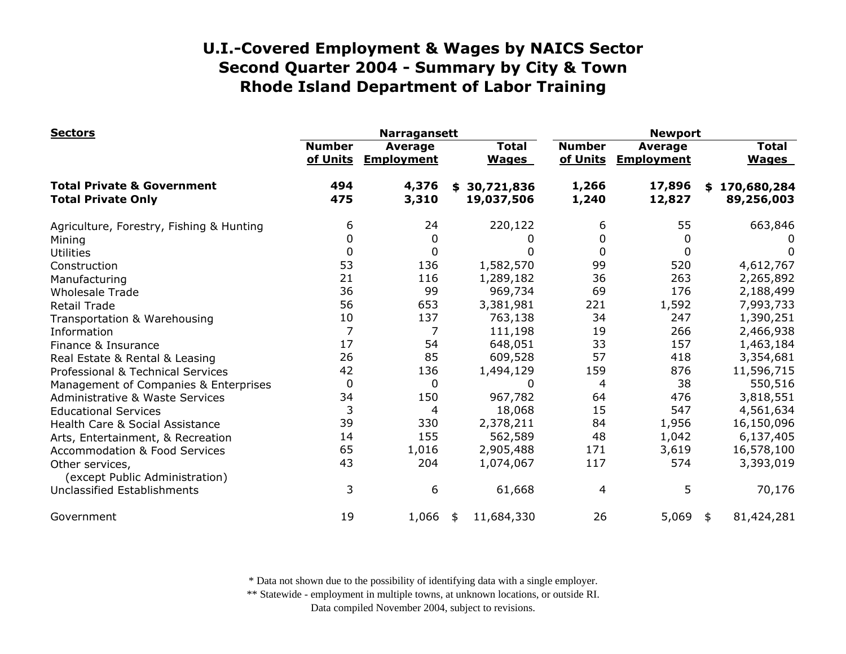| <b>Sectors</b>                                                     |                           | <b>Narragansett</b>          |                                |                           | <b>Newport</b>               |                              |  |  |
|--------------------------------------------------------------------|---------------------------|------------------------------|--------------------------------|---------------------------|------------------------------|------------------------------|--|--|
|                                                                    | <b>Number</b><br>of Units | Average<br><b>Employment</b> | <b>Total</b><br><b>Wages</b>   | <b>Number</b><br>of Units | Average<br><b>Employment</b> | <b>Total</b><br><b>Wages</b> |  |  |
| <b>Total Private &amp; Government</b><br><b>Total Private Only</b> | 494<br>475                | 4,376<br>3,310               | 30,721,836<br>\$<br>19,037,506 | 1,266<br>1,240            | 17,896<br>12,827             | \$170,680,284<br>89,256,003  |  |  |
| Agriculture, Forestry, Fishing & Hunting                           | 6                         | 24                           | 220,122                        | 6                         | 55                           | 663,846                      |  |  |
| Mining                                                             | 0                         | 0                            | 0                              | 0                         | $\Omega$                     |                              |  |  |
| <b>Utilities</b>                                                   | 0                         | 0                            | 0                              | 0                         | 0                            | 0                            |  |  |
| Construction                                                       | 53                        | 136                          | 1,582,570                      | 99                        | 520                          | 4,612,767                    |  |  |
| Manufacturing                                                      | 21                        | 116                          | 1,289,182                      | 36                        | 263                          | 2,265,892                    |  |  |
| <b>Wholesale Trade</b>                                             | 36                        | 99                           | 969,734                        | 69                        | 176                          | 2,188,499                    |  |  |
| <b>Retail Trade</b>                                                | 56                        | 653                          | 3,381,981                      | 221                       | 1,592                        | 7,993,733                    |  |  |
| Transportation & Warehousing                                       | 10                        | 137                          | 763,138                        | 34                        | 247                          | 1,390,251                    |  |  |
| Information                                                        | $\overline{7}$            | 7                            | 111,198                        | 19                        | 266                          | 2,466,938                    |  |  |
| Finance & Insurance                                                | 17                        | 54                           | 648,051                        | 33                        | 157                          | 1,463,184                    |  |  |
| Real Estate & Rental & Leasing                                     | 26                        | 85                           | 609,528                        | 57                        | 418                          | 3,354,681                    |  |  |
| Professional & Technical Services                                  | 42                        | 136                          | 1,494,129                      | 159                       | 876                          | 11,596,715                   |  |  |
| Management of Companies & Enterprises                              | 0                         | 0                            | 0                              | 4                         | 38                           | 550,516                      |  |  |
| Administrative & Waste Services                                    | 34                        | 150                          | 967,782                        | 64                        | 476                          | 3,818,551                    |  |  |
| <b>Educational Services</b>                                        | 3                         | 4                            | 18,068                         | 15                        | 547                          | 4,561,634                    |  |  |
| Health Care & Social Assistance                                    | 39                        | 330                          | 2,378,211                      | 84                        | 1,956                        | 16,150,096                   |  |  |
| Arts, Entertainment, & Recreation                                  | 14                        | 155                          | 562,589                        | 48                        | 1,042                        | 6,137,405                    |  |  |
| <b>Accommodation &amp; Food Services</b>                           | 65                        | 1,016                        | 2,905,488                      | 171                       | 3,619                        | 16,578,100                   |  |  |
| Other services,<br>(except Public Administration)                  | 43                        | 204                          | 1,074,067                      | 117                       | 574                          | 3,393,019                    |  |  |
| Unclassified Establishments                                        | 3                         | 6                            | 61,668                         | $\overline{4}$            | 5                            | 70,176                       |  |  |
| Government                                                         | 19                        | 1,066                        | 11,684,330<br>\$               | 26                        | 5,069                        | 81,424,281<br>\$             |  |  |

\* Data not shown due to the possibility of identifying data with a single employer.

\*\* Statewide - employment in multiple towns, at unknown locations, or outside RI.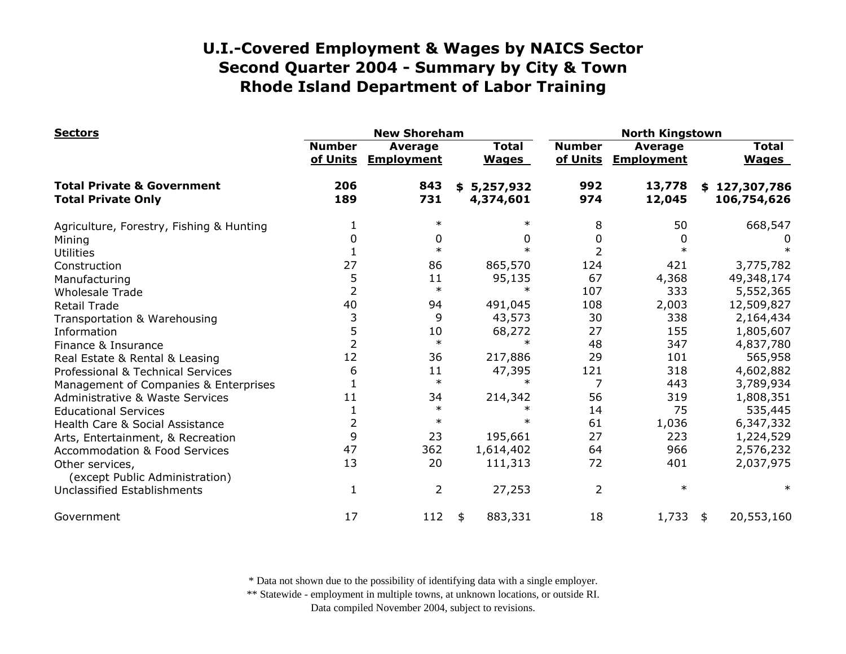| <b>Sectors</b>                                                     |                           | <b>New Shoreham</b>          |                              | <b>North Kingstown</b>    |                                     |                              |  |
|--------------------------------------------------------------------|---------------------------|------------------------------|------------------------------|---------------------------|-------------------------------------|------------------------------|--|
|                                                                    | <b>Number</b><br>of Units | Average<br><b>Employment</b> | <b>Total</b><br><b>Wages</b> | <b>Number</b><br>of Units | <b>Average</b><br><b>Employment</b> | <b>Total</b><br><b>Wages</b> |  |
| <b>Total Private &amp; Government</b><br><b>Total Private Only</b> | 206<br>189                | 843<br>731                   | \$5,257,932<br>4,374,601     | 992<br>974                | 13,778<br>12,045                    | \$127,307,786<br>106,754,626 |  |
| Agriculture, Forestry, Fishing & Hunting                           |                           | $\ast$                       |                              | 8                         | 50                                  | 668,547                      |  |
| Mining                                                             | 0                         | 0                            | <sup>0</sup>                 | 0                         | $\Omega$                            |                              |  |
| <b>Utilities</b>                                                   |                           | $\ast$                       |                              | 2                         |                                     |                              |  |
| Construction                                                       | 27                        | 86                           | 865,570                      | 124                       | 421                                 | 3,775,782                    |  |
| Manufacturing                                                      | 5                         | 11                           | 95,135                       | 67                        | 4,368                               | 49,348,174                   |  |
| <b>Wholesale Trade</b>                                             | $\overline{2}$            | $\ast$                       |                              | 107                       | 333                                 | 5,552,365                    |  |
| <b>Retail Trade</b>                                                | 40                        | 94                           | 491,045                      | 108                       | 2,003                               | 12,509,827                   |  |
| Transportation & Warehousing                                       | 3                         | 9                            | 43,573                       | 30                        | 338                                 | 2,164,434                    |  |
| Information                                                        | 5                         | 10                           | 68,272                       | 27                        | 155                                 | 1,805,607                    |  |
| Finance & Insurance                                                | $\overline{2}$            | $\ast$                       |                              | 48                        | 347                                 | 4,837,780                    |  |
| Real Estate & Rental & Leasing                                     | 12                        | 36                           | 217,886                      | 29                        | 101                                 | 565,958                      |  |
| Professional & Technical Services                                  | 6                         | 11                           | 47,395                       | 121                       | 318                                 | 4,602,882                    |  |
| Management of Companies & Enterprises                              |                           | $\ast$                       | $\ast$                       | 7                         | 443                                 | 3,789,934                    |  |
| Administrative & Waste Services                                    | 11                        | 34                           | 214,342                      | 56                        | 319                                 | 1,808,351                    |  |
| <b>Educational Services</b>                                        |                           | $\ast$                       |                              | 14                        | 75                                  | 535,445                      |  |
| Health Care & Social Assistance                                    | $\overline{2}$            | $\ast$                       | $\ast$                       | 61                        | 1,036                               | 6,347,332                    |  |
| Arts, Entertainment, & Recreation                                  | 9                         | 23                           | 195,661                      | 27                        | 223                                 | 1,224,529                    |  |
| <b>Accommodation &amp; Food Services</b>                           | 47                        | 362                          | 1,614,402                    | 64                        | 966                                 | 2,576,232                    |  |
| Other services,<br>(except Public Administration)                  | 13                        | 20                           | 111,313                      | 72                        | 401                                 | 2,037,975                    |  |
| <b>Unclassified Establishments</b>                                 | 1                         | 2                            | 27,253                       | 2                         | $\ast$                              | $\ast$                       |  |
| Government                                                         | 17                        | 112                          | 883,331<br>\$                | 18                        | 1,733                               | 20,553,160<br>\$             |  |

\* Data not shown due to the possibility of identifying data with a single employer.

\*\* Statewide - employment in multiple towns, at unknown locations, or outside RI.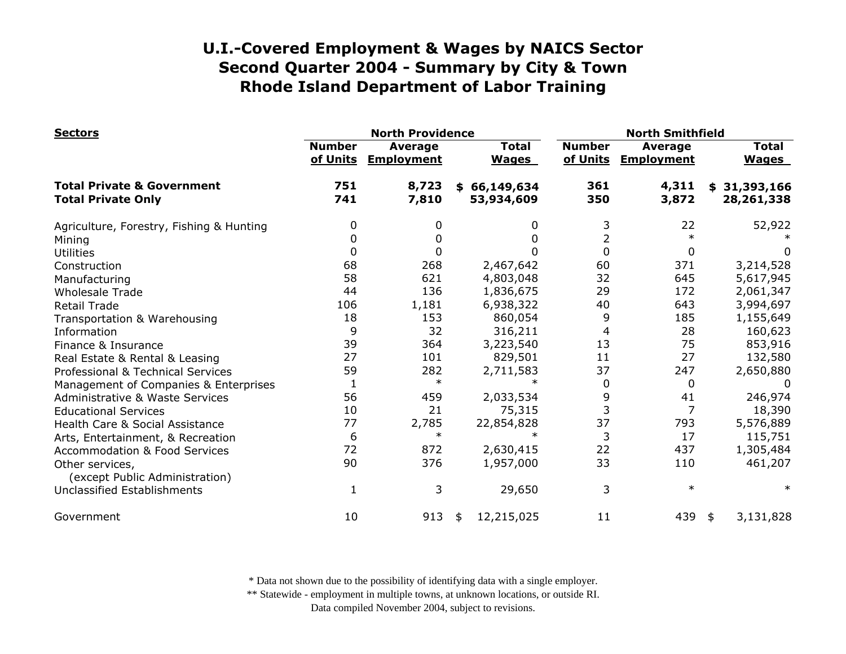| <b>Sectors</b>                                                     |                                                                                           | <b>North Providence</b> |                            |                                     | <b>North Smithfield</b>      |                            |  |  |
|--------------------------------------------------------------------|-------------------------------------------------------------------------------------------|-------------------------|----------------------------|-------------------------------------|------------------------------|----------------------------|--|--|
|                                                                    | <b>Number</b><br><b>Total</b><br>Average<br>of Units<br><b>Employment</b><br><b>Wages</b> |                         | <b>Number</b><br>of Units  | <b>Average</b><br><b>Employment</b> | <b>Total</b><br><b>Wages</b> |                            |  |  |
| <b>Total Private &amp; Government</b><br><b>Total Private Only</b> | 751<br>741                                                                                | 8,723<br>7,810          | \$66,149,634<br>53,934,609 | 361<br>350                          | 4,311<br>3,872               | \$31,393,166<br>28,261,338 |  |  |
| Agriculture, Forestry, Fishing & Hunting                           | 0                                                                                         |                         | 0                          | 3                                   | 22                           | 52,922                     |  |  |
| Mining                                                             | 0                                                                                         | 0                       | 0                          | 2                                   | $\ast$                       |                            |  |  |
| <b>Utilities</b>                                                   | 0                                                                                         |                         | 0                          | $\Omega$                            | 0                            | 0                          |  |  |
| Construction                                                       | 68                                                                                        | 268                     | 2,467,642                  | 60                                  | 371                          | 3,214,528                  |  |  |
| Manufacturing                                                      | 58                                                                                        | 621                     | 4,803,048                  | 32                                  | 645                          | 5,617,945                  |  |  |
| <b>Wholesale Trade</b>                                             | 44                                                                                        | 136                     | 1,836,675                  | 29                                  | 172                          | 2,061,347                  |  |  |
| <b>Retail Trade</b>                                                | 106                                                                                       | 1,181                   | 6,938,322                  | 40                                  | 643                          | 3,994,697                  |  |  |
| Transportation & Warehousing                                       | 18                                                                                        | 153                     | 860,054                    | 9                                   | 185                          | 1,155,649                  |  |  |
| Information                                                        | 9                                                                                         | 32                      | 316,211                    | 4                                   | 28                           | 160,623                    |  |  |
| Finance & Insurance                                                | 39                                                                                        | 364                     | 3,223,540                  | 13                                  | 75                           | 853,916                    |  |  |
| Real Estate & Rental & Leasing                                     | 27                                                                                        | 101                     | 829,501                    | 11                                  | 27                           | 132,580                    |  |  |
| Professional & Technical Services                                  | 59                                                                                        | 282                     | 2,711,583                  | 37                                  | 247                          | 2,650,880                  |  |  |
| Management of Companies & Enterprises                              | $\mathbf 1$                                                                               | $\ast$                  | $\ast$                     | 0                                   | 0                            |                            |  |  |
| <b>Administrative &amp; Waste Services</b>                         | 56                                                                                        | 459                     | 2,033,534                  | 9                                   | 41                           | 246,974                    |  |  |
| <b>Educational Services</b>                                        | 10                                                                                        | 21                      | 75,315                     | 3                                   |                              | 18,390                     |  |  |
| Health Care & Social Assistance                                    | 77                                                                                        | 2,785                   | 22,854,828                 | 37                                  | 793                          | 5,576,889                  |  |  |
| Arts, Entertainment, & Recreation                                  | 6                                                                                         | $\ast$                  | $\ast$                     | 3                                   | 17                           | 115,751                    |  |  |
| <b>Accommodation &amp; Food Services</b>                           | 72                                                                                        | 872                     | 2,630,415                  | 22                                  | 437                          | 1,305,484                  |  |  |
| Other services,<br>(except Public Administration)                  | 90                                                                                        | 376                     | 1,957,000                  | 33                                  | 110                          | 461,207                    |  |  |
| Unclassified Establishments                                        | 1                                                                                         | 3                       | 29,650                     | 3                                   | $\ast$                       | $\ast$                     |  |  |
| Government                                                         | 10                                                                                        | 913                     | 12,215,025<br>\$           | 11                                  | 439                          | 3,131,828<br>\$            |  |  |

\* Data not shown due to the possibility of identifying data with a single employer.

\*\* Statewide - employment in multiple towns, at unknown locations, or outside RI.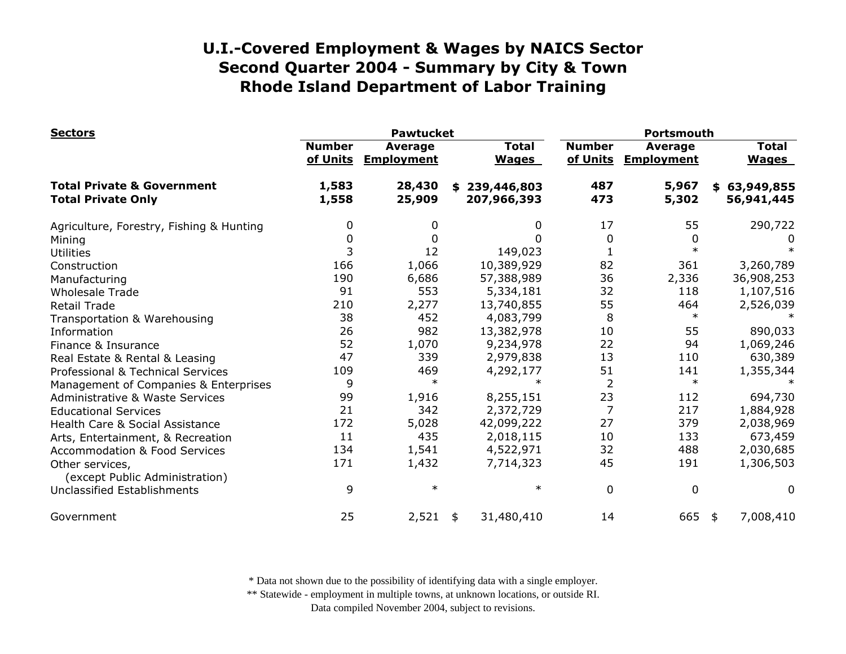| <b>Sectors</b>                                                     |                                                                  | <b>Pawtucket</b> |                              | Portsmouth                |                              |                              |  |
|--------------------------------------------------------------------|------------------------------------------------------------------|------------------|------------------------------|---------------------------|------------------------------|------------------------------|--|
|                                                                    | <b>Number</b><br><b>Average</b><br>of Units<br><b>Employment</b> |                  | <b>Total</b><br><b>Wages</b> | <b>Number</b><br>of Units | Average<br><b>Employment</b> | <b>Total</b><br><b>Wages</b> |  |
| <b>Total Private &amp; Government</b><br><b>Total Private Only</b> | 1,583<br>1,558                                                   | 28,430<br>25,909 | \$239,446,803<br>207,966,393 | 487<br>473                | 5,967<br>5,302               | \$63,949,855<br>56,941,445   |  |
| Agriculture, Forestry, Fishing & Hunting                           | 0                                                                | 0                | 0                            | 17                        | 55                           | 290,722                      |  |
| Mining                                                             | 0                                                                | 0                | <sup>0</sup>                 | 0                         | 0                            |                              |  |
| <b>Utilities</b>                                                   | 3                                                                | 12               | 149,023                      |                           | $\ast$                       |                              |  |
| Construction                                                       | 166                                                              | 1,066            | 10,389,929                   | 82                        | 361                          | 3,260,789                    |  |
| Manufacturing                                                      | 190                                                              | 6,686            | 57,388,989                   | 36                        | 2,336                        | 36,908,253                   |  |
| <b>Wholesale Trade</b>                                             | 91                                                               | 553              | 5,334,181                    | 32                        | 118                          | 1,107,516                    |  |
| <b>Retail Trade</b>                                                | 210                                                              | 2,277            | 13,740,855                   | 55                        | 464                          | 2,526,039                    |  |
| Transportation & Warehousing                                       | 38                                                               | 452              | 4,083,799                    | 8                         | $\ast$                       |                              |  |
| Information                                                        | 26                                                               | 982              | 13,382,978                   | 10                        | 55                           | 890,033                      |  |
| Finance & Insurance                                                | 52                                                               | 1,070            | 9,234,978                    | 22                        | 94                           | 1,069,246                    |  |
| Real Estate & Rental & Leasing                                     | 47                                                               | 339              | 2,979,838                    | 13                        | 110                          | 630,389                      |  |
| Professional & Technical Services                                  | 109                                                              | 469              | 4,292,177                    | 51                        | 141                          | 1,355,344                    |  |
| Management of Companies & Enterprises                              | 9                                                                | $\ast$           |                              | $\overline{2}$            | $\ast$                       |                              |  |
| <b>Administrative &amp; Waste Services</b>                         | 99                                                               | 1,916            | 8,255,151                    | 23                        | 112                          | 694,730                      |  |
| <b>Educational Services</b>                                        | 21                                                               | 342              | 2,372,729                    | $\overline{7}$            | 217                          | 1,884,928                    |  |
| Health Care & Social Assistance                                    | 172                                                              | 5,028            | 42,099,222                   | 27                        | 379                          | 2,038,969                    |  |
| Arts, Entertainment, & Recreation                                  | 11                                                               | 435              | 2,018,115                    | 10                        | 133                          | 673,459                      |  |
| <b>Accommodation &amp; Food Services</b>                           | 134                                                              | 1,541            | 4,522,971                    | 32                        | 488                          | 2,030,685                    |  |
| Other services,                                                    | 171                                                              | 1,432            | 7,714,323                    | 45                        | 191                          | 1,306,503                    |  |
| (except Public Administration)                                     |                                                                  |                  |                              |                           |                              |                              |  |
| Unclassified Establishments                                        | 9                                                                | $\ast$           | $\ast$                       | $\mathbf 0$               | $\mathbf 0$                  | 0                            |  |
| Government                                                         | 25                                                               | 2,521            | 31,480,410<br>\$             | 14                        | 665                          | 7,008,410<br>\$              |  |

\* Data not shown due to the possibility of identifying data with a single employer.

\*\* Statewide - employment in multiple towns, at unknown locations, or outside RI.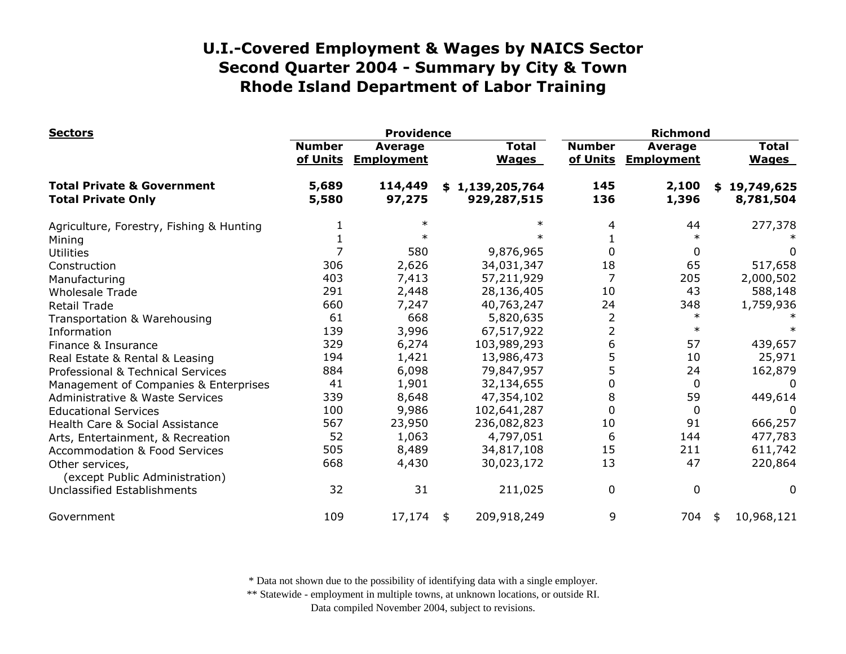| <b>Sectors</b>                                                     | <b>Providence</b>                                                |                   |    |                                | <b>Richmond</b>           |                                     |    |                              |  |
|--------------------------------------------------------------------|------------------------------------------------------------------|-------------------|----|--------------------------------|---------------------------|-------------------------------------|----|------------------------------|--|
|                                                                    | <b>Number</b><br><b>Average</b><br>of Units<br><b>Employment</b> |                   |    | <b>Total</b><br><b>Wages</b>   | <b>Number</b><br>of Units | <b>Average</b><br><b>Employment</b> |    | <b>Total</b><br><b>Wages</b> |  |
| <b>Total Private &amp; Government</b><br><b>Total Private Only</b> | 5,689<br>5,580                                                   | 114,449<br>97,275 |    | \$1,139,205,764<br>929,287,515 | 145<br>136                | 2,100<br>1,396                      |    | \$19,749,625<br>8,781,504    |  |
| Agriculture, Forestry, Fishing & Hunting                           |                                                                  | $\ast$            |    | $\ast$                         | 4                         | 44                                  |    | 277,378                      |  |
| Mining                                                             |                                                                  |                   |    |                                |                           | $\ast$                              |    |                              |  |
| <b>Utilities</b>                                                   |                                                                  | 580               |    | 9,876,965                      | 0                         | 0                                   |    | 0                            |  |
| Construction                                                       | 306                                                              | 2,626             |    | 34,031,347                     | 18                        | 65                                  |    | 517,658                      |  |
| Manufacturing                                                      | 403                                                              | 7,413             |    | 57,211,929                     | 7                         | 205                                 |    | 2,000,502                    |  |
| <b>Wholesale Trade</b>                                             | 291                                                              | 2,448             |    | 28,136,405                     | 10                        | 43                                  |    | 588,148                      |  |
| <b>Retail Trade</b>                                                | 660                                                              | 7,247             |    | 40,763,247                     | 24                        | 348                                 |    | 1,759,936                    |  |
| Transportation & Warehousing                                       | 61                                                               | 668               |    | 5,820,635                      | $\overline{2}$            | $\ast$                              |    |                              |  |
| Information                                                        | 139                                                              | 3,996             |    | 67,517,922                     | $\overline{2}$            | $\ast$                              |    |                              |  |
| Finance & Insurance                                                | 329                                                              | 6,274             |    | 103,989,293                    | 6                         | 57                                  |    | 439,657                      |  |
| Real Estate & Rental & Leasing                                     | 194                                                              | 1,421             |    | 13,986,473                     | 5                         | 10                                  |    | 25,971                       |  |
| Professional & Technical Services                                  | 884                                                              | 6,098             |    | 79,847,957                     | 5                         | 24                                  |    | 162,879                      |  |
| Management of Companies & Enterprises                              | 41                                                               | 1,901             |    | 32,134,655                     | 0                         | 0                                   |    | $\Omega$                     |  |
| Administrative & Waste Services                                    | 339                                                              | 8,648             |    | 47,354,102                     | 8                         | 59                                  |    | 449,614                      |  |
| <b>Educational Services</b>                                        | 100                                                              | 9,986             |    | 102,641,287                    | 0                         | 0                                   |    | 0                            |  |
| Health Care & Social Assistance                                    | 567                                                              | 23,950            |    | 236,082,823                    | 10                        | 91                                  |    | 666,257                      |  |
| Arts, Entertainment, & Recreation                                  | 52                                                               | 1,063             |    | 4,797,051                      | 6                         | 144                                 |    | 477,783                      |  |
| <b>Accommodation &amp; Food Services</b>                           | 505                                                              | 8,489             |    | 34,817,108                     | 15                        | 211                                 |    | 611,742                      |  |
| Other services,<br>(except Public Administration)                  | 668                                                              | 4,430             |    | 30,023,172                     | 13                        | 47                                  |    | 220,864                      |  |
| <b>Unclassified Establishments</b>                                 | 32                                                               | 31                |    | 211,025                        | 0                         | 0                                   |    | 0                            |  |
| Government                                                         | 109                                                              | 17,174            | \$ | 209,918,249                    | 9                         | 704                                 | \$ | 10,968,121                   |  |

\* Data not shown due to the possibility of identifying data with a single employer.

\*\* Statewide - employment in multiple towns, at unknown locations, or outside RI.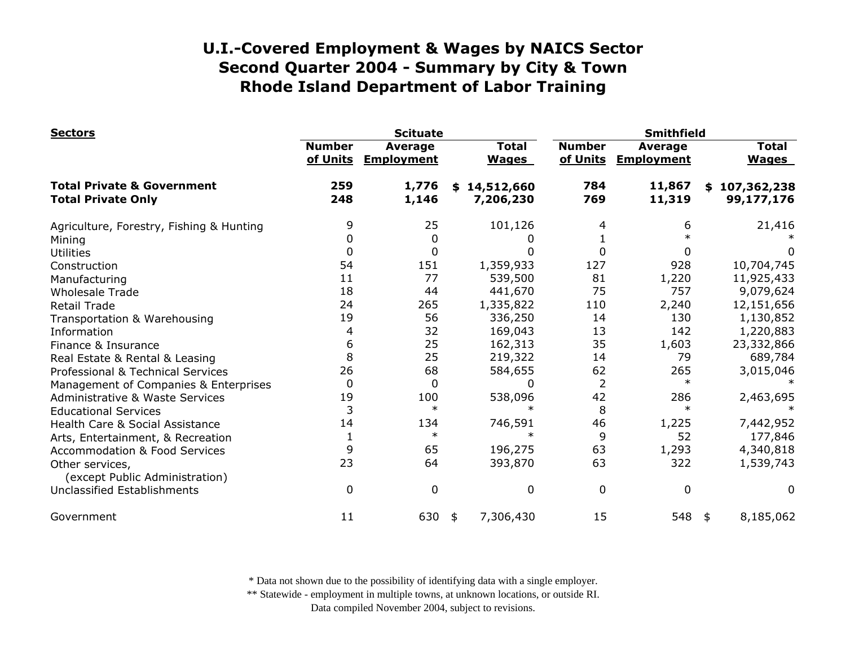| <b>Sectors</b>                                                     |                           | <b>Scituate</b>                     |                               | <b>Smithfield</b>         |                                     |                              |  |
|--------------------------------------------------------------------|---------------------------|-------------------------------------|-------------------------------|---------------------------|-------------------------------------|------------------------------|--|
|                                                                    | <b>Number</b><br>of Units | <b>Average</b><br><b>Employment</b> | <b>Total</b><br><b>Wages</b>  | <b>Number</b><br>of Units | <b>Average</b><br><b>Employment</b> | <b>Total</b><br><b>Wages</b> |  |
| <b>Total Private &amp; Government</b><br><b>Total Private Only</b> | 259<br>248                | 1,776<br>1,146                      | 14,512,660<br>\$<br>7,206,230 | 784<br>769                | 11,867<br>11,319                    | \$107,362,238<br>99,177,176  |  |
| Agriculture, Forestry, Fishing & Hunting                           | 9                         | 25                                  | 101,126                       | 4                         | 6                                   | 21,416                       |  |
| Mining                                                             | 0                         | 0                                   |                               |                           |                                     |                              |  |
| <b>Utilities</b>                                                   | 0                         | 0                                   | 0                             | $\Omega$                  |                                     | $\Omega$                     |  |
| Construction                                                       | 54                        | 151                                 | 1,359,933                     | 127                       | 928                                 | 10,704,745                   |  |
| Manufacturing                                                      | 11                        | 77                                  | 539,500                       | 81                        | 1,220                               | 11,925,433                   |  |
| <b>Wholesale Trade</b>                                             | 18                        | 44                                  | 441,670                       | 75                        | 757                                 | 9,079,624                    |  |
| <b>Retail Trade</b>                                                | 24                        | 265                                 | 1,335,822                     | 110                       | 2,240                               | 12,151,656                   |  |
| Transportation & Warehousing                                       | 19                        | 56                                  | 336,250                       | 14                        | 130                                 | 1,130,852                    |  |
| Information                                                        | 4                         | 32                                  | 169,043                       | 13                        | 142                                 | 1,220,883                    |  |
| Finance & Insurance                                                | 6                         | 25                                  | 162,313                       | 35                        | 1,603                               | 23,332,866                   |  |
| Real Estate & Rental & Leasing                                     | 8                         | 25                                  | 219,322                       | 14                        | 79                                  | 689,784                      |  |
| Professional & Technical Services                                  | 26                        | 68                                  | 584,655                       | 62                        | 265                                 | 3,015,046                    |  |
| Management of Companies & Enterprises                              | 0                         | 0                                   | O                             | $\overline{2}$            | $\ast$                              |                              |  |
| <b>Administrative &amp; Waste Services</b>                         | 19                        | 100                                 | 538,096                       | 42                        | 286                                 | 2,463,695                    |  |
| <b>Educational Services</b>                                        | 3                         | $\ast$                              |                               | 8                         | $\ast$                              |                              |  |
| Health Care & Social Assistance                                    | 14                        | 134                                 | 746,591                       | 46                        | 1,225                               | 7,442,952                    |  |
| Arts, Entertainment, & Recreation                                  | $\mathbf{1}$              | $\ast$                              | $\ast$                        | 9                         | 52                                  | 177,846                      |  |
| <b>Accommodation &amp; Food Services</b>                           | 9                         | 65                                  | 196,275                       | 63                        | 1,293                               | 4,340,818                    |  |
| Other services,                                                    | 23                        | 64                                  | 393,870                       | 63                        | 322                                 | 1,539,743                    |  |
| (except Public Administration)<br>Unclassified Establishments      | $\Omega$                  | 0                                   | 0                             | 0                         | 0                                   | 0                            |  |
| Government                                                         | 11                        | 630                                 | 7,306,430<br>\$               | 15                        | 548                                 | 8,185,062<br>\$              |  |

\* Data not shown due to the possibility of identifying data with a single employer.

\*\* Statewide - employment in multiple towns, at unknown locations, or outside RI.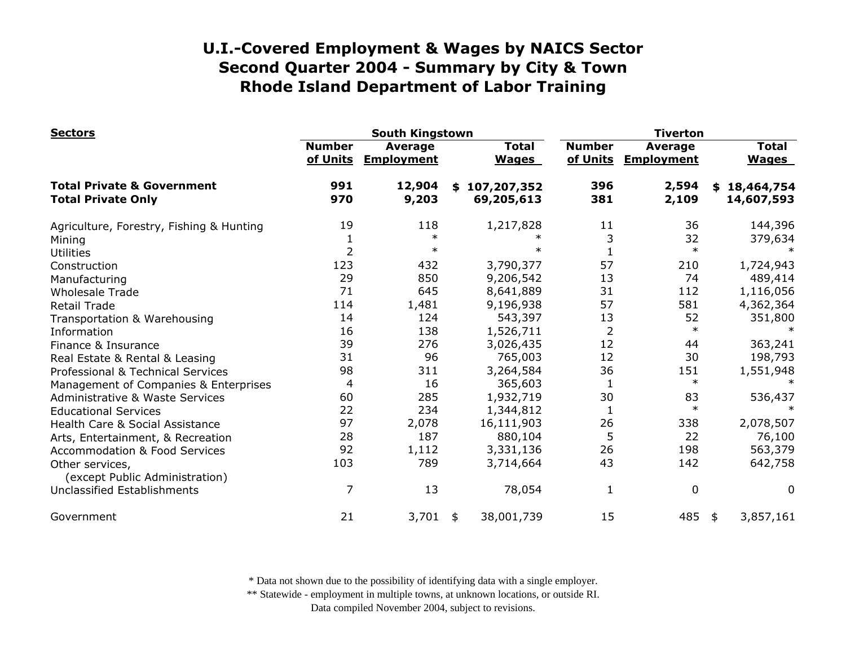| <b>Sectors</b>                                                     | <b>South Kingstown</b>    |                              |    |                              | <b>Tiverton</b>           |                              |    |                              |
|--------------------------------------------------------------------|---------------------------|------------------------------|----|------------------------------|---------------------------|------------------------------|----|------------------------------|
|                                                                    | <b>Number</b><br>of Units | Average<br><b>Employment</b> |    | <b>Total</b><br><b>Wages</b> | <b>Number</b><br>of Units | Average<br><b>Employment</b> |    | <b>Total</b><br><b>Wages</b> |
| <b>Total Private &amp; Government</b><br><b>Total Private Only</b> | 991<br>970                | 12,904<br>9,203              |    | \$107,207,352<br>69,205,613  | 396<br>381                | 2,594<br>2,109               |    | \$18,464,754<br>14,607,593   |
|                                                                    |                           |                              |    |                              |                           |                              |    |                              |
| Agriculture, Forestry, Fishing & Hunting                           | 19                        | 118                          |    | 1,217,828                    | 11                        | 36                           |    | 144,396                      |
| Mining                                                             | 1                         | $\ast$                       |    |                              | 3                         | 32                           |    | 379,634                      |
| <b>Utilities</b>                                                   | $\overline{2}$            | $\ast$                       |    | $\ast$                       |                           | $\ast$                       |    |                              |
| Construction                                                       | 123                       | 432                          |    | 3,790,377                    | 57                        | 210                          |    | 1,724,943                    |
| Manufacturing                                                      | 29                        | 850                          |    | 9,206,542                    | 13                        | 74                           |    | 489,414                      |
| <b>Wholesale Trade</b>                                             | 71                        | 645                          |    | 8,641,889                    | 31                        | 112                          |    | 1,116,056                    |
| <b>Retail Trade</b>                                                | 114                       | 1,481                        |    | 9,196,938                    | 57                        | 581                          |    | 4,362,364                    |
| Transportation & Warehousing                                       | 14                        | 124                          |    | 543,397                      | 13                        | 52                           |    | 351,800                      |
| Information                                                        | 16                        | 138                          |    | 1,526,711                    | $\overline{2}$            | $\ast$                       |    |                              |
| Finance & Insurance                                                | 39                        | 276                          |    | 3,026,435                    | 12                        | 44                           |    | 363,241                      |
| Real Estate & Rental & Leasing                                     | 31                        | 96                           |    | 765,003                      | 12                        | 30                           |    | 198,793                      |
| Professional & Technical Services                                  | 98                        | 311                          |    | 3,264,584                    | 36                        | 151                          |    | 1,551,948                    |
| Management of Companies & Enterprises                              | 4                         | 16                           |    | 365,603                      | 1                         | $\ast$                       |    |                              |
| <b>Administrative &amp; Waste Services</b>                         | 60                        | 285                          |    | 1,932,719                    | 30                        | 83                           |    | 536,437                      |
| <b>Educational Services</b>                                        | 22                        | 234                          |    | 1,344,812                    |                           | $\ast$                       |    |                              |
| Health Care & Social Assistance                                    | 97                        | 2,078                        |    | 16,111,903                   | 26                        | 338                          |    | 2,078,507                    |
| Arts, Entertainment, & Recreation                                  | 28                        | 187                          |    | 880,104                      | 5                         | 22                           |    | 76,100                       |
| <b>Accommodation &amp; Food Services</b>                           | 92                        | 1,112                        |    | 3,331,136                    | 26                        | 198                          |    | 563,379                      |
| Other services,<br>(except Public Administration)                  | 103                       | 789                          |    | 3,714,664                    | 43                        | 142                          |    | 642,758                      |
| Unclassified Establishments                                        | 7                         | 13                           |    | 78,054                       | 1                         | $\mathbf 0$                  |    | 0                            |
| Government                                                         | 21                        | 3,701                        | \$ | 38,001,739                   | 15                        | 485                          | \$ | 3,857,161                    |

\* Data not shown due to the possibility of identifying data with a single employer.

\*\* Statewide - employment in multiple towns, at unknown locations, or outside RI.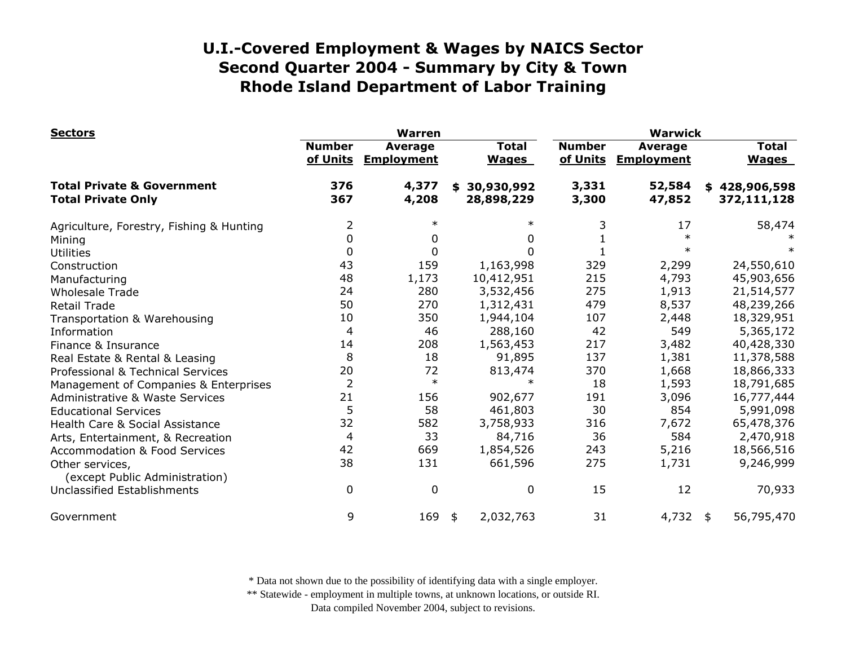| <b>Sectors</b>                                                     |                           | <b>Warren</b>                       |                                | <b>Warwick</b>            |                              |                              |  |
|--------------------------------------------------------------------|---------------------------|-------------------------------------|--------------------------------|---------------------------|------------------------------|------------------------------|--|
|                                                                    | <b>Number</b><br>of Units | <b>Average</b><br><b>Employment</b> | <b>Total</b><br><b>Wages</b>   | <b>Number</b><br>of Units | Average<br><b>Employment</b> | <b>Total</b><br><b>Wages</b> |  |
| <b>Total Private &amp; Government</b><br><b>Total Private Only</b> | 376<br>367                | 4,377<br>4,208                      | 30,930,992<br>\$<br>28,898,229 | 3,331<br>3,300            | 52,584<br>47,852             | \$428,906,598<br>372,111,128 |  |
| Agriculture, Forestry, Fishing & Hunting                           | 2                         | $\ast$                              | $\ast$                         | 3                         | 17                           | 58,474                       |  |
| Mining                                                             | 0                         | 0                                   | 0                              |                           |                              |                              |  |
| <b>Utilities</b>                                                   | $\mathbf 0$               | $\mathbf{0}$                        | 0                              |                           |                              |                              |  |
| Construction                                                       | 43                        | 159                                 | 1,163,998                      | 329                       | 2,299                        | 24,550,610                   |  |
| Manufacturing                                                      | 48                        | 1,173                               | 10,412,951                     | 215                       | 4,793                        | 45,903,656                   |  |
| <b>Wholesale Trade</b>                                             | 24                        | 280                                 | 3,532,456                      | 275                       | 1,913                        | 21,514,577                   |  |
| <b>Retail Trade</b>                                                | 50                        | 270                                 | 1,312,431                      | 479                       | 8,537                        | 48,239,266                   |  |
| Transportation & Warehousing                                       | 10                        | 350                                 | 1,944,104                      | 107                       | 2,448                        | 18,329,951                   |  |
| Information                                                        | 4                         | 46                                  | 288,160                        | 42                        | 549                          | 5,365,172                    |  |
| Finance & Insurance                                                | 14                        | 208                                 | 1,563,453                      | 217                       | 3,482                        | 40,428,330                   |  |
| Real Estate & Rental & Leasing                                     | 8                         | 18                                  | 91,895                         | 137                       | 1,381                        | 11,378,588                   |  |
| Professional & Technical Services                                  | 20                        | 72                                  | 813,474                        | 370                       | 1,668                        | 18,866,333                   |  |
| Management of Companies & Enterprises                              | $\overline{2}$            | $\ast$                              | $\ast$                         | 18                        | 1,593                        | 18,791,685                   |  |
| <b>Administrative &amp; Waste Services</b>                         | 21                        | 156                                 | 902,677                        | 191                       | 3,096                        | 16,777,444                   |  |
| <b>Educational Services</b>                                        | 5                         | 58                                  | 461,803                        | 30                        | 854                          | 5,991,098                    |  |
| Health Care & Social Assistance                                    | 32                        | 582                                 | 3,758,933                      | 316                       | 7,672                        | 65,478,376                   |  |
| Arts, Entertainment, & Recreation                                  | 4                         | 33                                  | 84,716                         | 36                        | 584                          | 2,470,918                    |  |
| <b>Accommodation &amp; Food Services</b>                           | 42                        | 669                                 | 1,854,526                      | 243                       | 5,216                        | 18,566,516                   |  |
| Other services,<br>(except Public Administration)                  | 38                        | 131                                 | 661,596                        | 275                       | 1,731                        | 9,246,999                    |  |
| <b>Unclassified Establishments</b>                                 | 0                         | $\mathbf 0$                         | 0                              | 15                        | 12                           | 70,933                       |  |
| Government                                                         | 9                         | 169                                 | 2,032,763<br>\$                | 31                        | $4,732$ \$                   | 56,795,470                   |  |

\* Data not shown due to the possibility of identifying data with a single employer.

\*\* Statewide - employment in multiple towns, at unknown locations, or outside RI.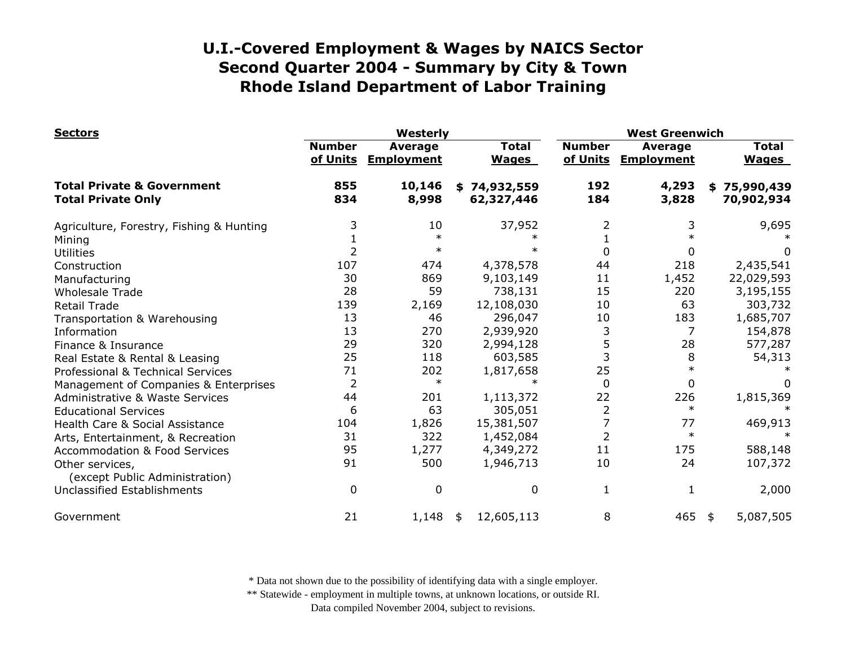| <b>Sectors</b>                                                     |                           | Westerly                     |                              |                           | <b>West Greenwich</b>               |                              |  |  |
|--------------------------------------------------------------------|---------------------------|------------------------------|------------------------------|---------------------------|-------------------------------------|------------------------------|--|--|
|                                                                    | <b>Number</b><br>of Units | Average<br><b>Employment</b> | <b>Total</b><br><b>Wages</b> | <b>Number</b><br>of Units | <b>Average</b><br><b>Employment</b> | <b>Total</b><br><b>Wages</b> |  |  |
| <b>Total Private &amp; Government</b><br><b>Total Private Only</b> | 855<br>834                | 10,146<br>8,998              | \$74,932,559<br>62,327,446   | 192<br>184                | 4,293<br>3,828                      | \$75,990,439<br>70,902,934   |  |  |
| Agriculture, Forestry, Fishing & Hunting                           | 3                         | 10                           | 37,952                       | 2                         | 3                                   | 9,695                        |  |  |
| Mining                                                             |                           | $\ast$                       |                              |                           |                                     |                              |  |  |
| <b>Utilities</b>                                                   |                           | $\ast$                       |                              | 0                         | 0                                   |                              |  |  |
| Construction                                                       | 107                       | 474                          | 4,378,578                    | 44                        | 218                                 | 2,435,541                    |  |  |
| Manufacturing                                                      | 30                        | 869                          | 9,103,149                    | 11                        | 1,452                               | 22,029,593                   |  |  |
| <b>Wholesale Trade</b>                                             | 28                        | 59                           | 738,131                      | 15                        | 220                                 | 3,195,155                    |  |  |
| <b>Retail Trade</b>                                                | 139                       | 2,169                        | 12,108,030                   | 10                        | 63                                  | 303,732                      |  |  |
| Transportation & Warehousing                                       | 13                        | 46                           | 296,047                      | 10                        | 183                                 | 1,685,707                    |  |  |
| Information                                                        | 13                        | 270                          | 2,939,920                    | 3                         | 7                                   | 154,878                      |  |  |
| Finance & Insurance                                                | 29                        | 320                          | 2,994,128                    | 5                         | 28                                  | 577,287                      |  |  |
| Real Estate & Rental & Leasing                                     | 25                        | 118                          | 603,585                      | 3                         | 8                                   | 54,313                       |  |  |
| Professional & Technical Services                                  | 71                        | 202                          | 1,817,658                    | 25                        | $\ast$                              |                              |  |  |
| Management of Companies & Enterprises                              | $\overline{2}$            | $\ast$                       |                              | $\Omega$                  | 0                                   |                              |  |  |
| <b>Administrative &amp; Waste Services</b>                         | 44                        | 201                          | 1,113,372                    | 22                        | 226                                 | 1,815,369                    |  |  |
| <b>Educational Services</b>                                        | 6                         | 63                           | 305,051                      | 2                         | $\ast$                              |                              |  |  |
| Health Care & Social Assistance                                    | 104                       | 1,826                        | 15,381,507                   |                           | 77                                  | 469,913                      |  |  |
| Arts, Entertainment, & Recreation                                  | 31                        | 322                          | 1,452,084                    | $\overline{2}$            | $\ast$                              |                              |  |  |
| <b>Accommodation &amp; Food Services</b>                           | 95                        | 1,277                        | 4,349,272                    | 11                        | 175                                 | 588,148                      |  |  |
| Other services,<br>(except Public Administration)                  | 91                        | 500                          | 1,946,713                    | 10                        | 24                                  | 107,372                      |  |  |
| Unclassified Establishments                                        | 0                         | $\mathbf{0}$                 | 0                            | 1                         | 1                                   | 2,000                        |  |  |
| Government                                                         | 21                        | 1,148                        | 12,605,113<br>\$             | 8                         | 465                                 | 5,087,505<br>\$              |  |  |

\* Data not shown due to the possibility of identifying data with a single employer.

\*\* Statewide - employment in multiple towns, at unknown locations, or outside RI.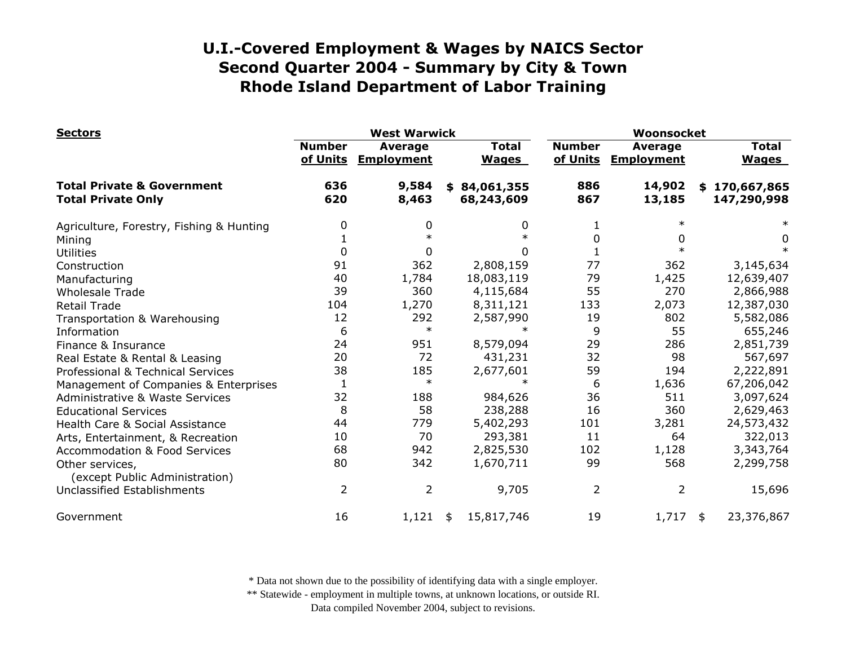| <b>Sectors</b>                                                     | <b>West Warwick</b>       |                                     |    |                              | Woonsocket    |                                |    |                              |
|--------------------------------------------------------------------|---------------------------|-------------------------------------|----|------------------------------|---------------|--------------------------------|----|------------------------------|
|                                                                    | <b>Number</b><br>of Units | <b>Average</b><br><b>Employment</b> |    | <b>Total</b><br><b>Wages</b> | <b>Number</b> | Average<br>of Units Employment |    | <b>Total</b><br><b>Wages</b> |
| <b>Total Private &amp; Government</b><br><b>Total Private Only</b> | 636<br>620                | 9,584<br>8,463                      |    | \$84,061,355<br>68,243,609   | 886<br>867    | 14,902<br>13,185               | \$ | 170,667,865<br>147,290,998   |
| Agriculture, Forestry, Fishing & Hunting                           | 0                         | 0                                   |    | 0                            | 1             |                                |    |                              |
| Mining                                                             |                           | $\ast$                              |    |                              | 0             | 0                              |    | 0                            |
| <b>Utilities</b>                                                   | $\Omega$                  | 0                                   |    | 0                            |               |                                |    |                              |
| Construction                                                       | 91                        | 362                                 |    | 2,808,159                    | 77            | 362                            |    | 3,145,634                    |
| Manufacturing                                                      | 40                        | 1,784                               |    | 18,083,119                   | 79            | 1,425                          |    | 12,639,407                   |
| <b>Wholesale Trade</b>                                             | 39                        | 360                                 |    | 4,115,684                    | 55            | 270                            |    | 2,866,988                    |
| <b>Retail Trade</b>                                                | 104                       | 1,270                               |    | 8,311,121                    | 133           | 2,073                          |    | 12,387,030                   |
| Transportation & Warehousing                                       | 12                        | 292                                 |    | 2,587,990                    | 19            | 802                            |    | 5,582,086                    |
| Information                                                        | 6                         | $\ast$                              |    | $\ast$                       | 9             | 55                             |    | 655,246                      |
| Finance & Insurance                                                | 24                        | 951                                 |    | 8,579,094                    | 29            | 286                            |    | 2,851,739                    |
| Real Estate & Rental & Leasing                                     | 20                        | 72                                  |    | 431,231                      | 32            | 98                             |    | 567,697                      |
| Professional & Technical Services                                  | 38                        | 185                                 |    | 2,677,601                    | 59            | 194                            |    | 2,222,891                    |
| Management of Companies & Enterprises                              | 1                         | $\ast$                              |    | $\ast$                       | 6             | 1,636                          |    | 67,206,042                   |
| <b>Administrative &amp; Waste Services</b>                         | 32                        | 188                                 |    | 984,626                      | 36            | 511                            |    | 3,097,624                    |
| <b>Educational Services</b>                                        | 8                         | 58                                  |    | 238,288                      | 16            | 360                            |    | 2,629,463                    |
| Health Care & Social Assistance                                    | 44                        | 779                                 |    | 5,402,293                    | 101           | 3,281                          |    | 24,573,432                   |
| Arts, Entertainment, & Recreation                                  | 10                        | 70                                  |    | 293,381                      | 11            | 64                             |    | 322,013                      |
| <b>Accommodation &amp; Food Services</b>                           | 68                        | 942                                 |    | 2,825,530                    | 102           | 1,128                          |    | 3,343,764                    |
| Other services,<br>(except Public Administration)                  | 80                        | 342                                 |    | 1,670,711                    | 99            | 568                            |    | 2,299,758                    |
| Unclassified Establishments                                        | $\overline{2}$            | 2                                   |    | 9,705                        | 2             | 2                              |    | 15,696                       |
| Government                                                         | 16                        | 1,121                               | \$ | 15,817,746                   | 19            | 1,717                          | \$ | 23,376,867                   |

\* Data not shown due to the possibility of identifying data with a single employer.

\*\* Statewide - employment in multiple towns, at unknown locations, or outside RI.